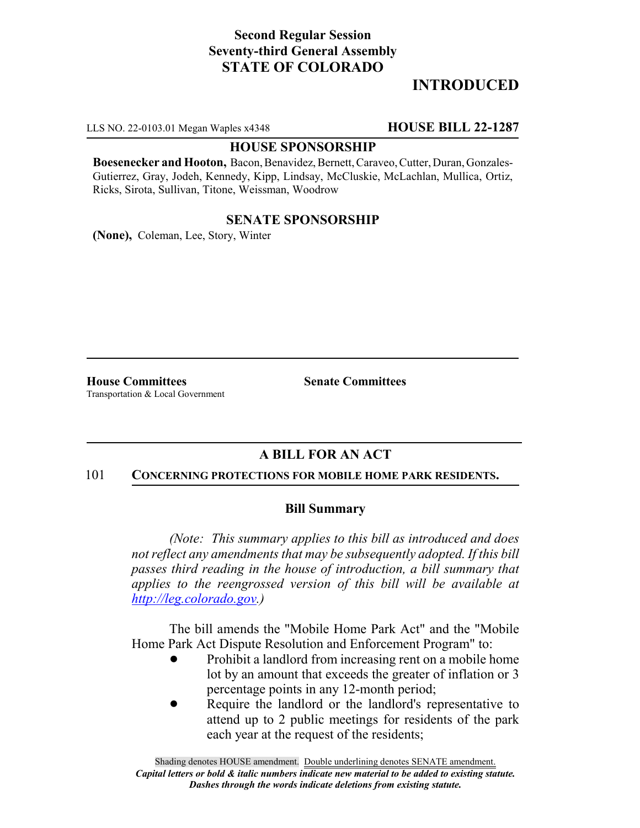# **Second Regular Session Seventy-third General Assembly STATE OF COLORADO**

# **INTRODUCED**

LLS NO. 22-0103.01 Megan Waples x4348 **HOUSE BILL 22-1287**

### **HOUSE SPONSORSHIP**

**Boesenecker and Hooton,** Bacon, Benavidez, Bernett, Caraveo, Cutter, Duran, Gonzales-Gutierrez, Gray, Jodeh, Kennedy, Kipp, Lindsay, McCluskie, McLachlan, Mullica, Ortiz, Ricks, Sirota, Sullivan, Titone, Weissman, Woodrow

## **SENATE SPONSORSHIP**

**(None),** Coleman, Lee, Story, Winter

**House Committees Senate Committees** Transportation & Local Government

## **A BILL FOR AN ACT**

#### 101 **CONCERNING PROTECTIONS FOR MOBILE HOME PARK RESIDENTS.**

## **Bill Summary**

*(Note: This summary applies to this bill as introduced and does not reflect any amendments that may be subsequently adopted. If this bill passes third reading in the house of introduction, a bill summary that applies to the reengrossed version of this bill will be available at http://leg.colorado.gov.)*

The bill amends the "Mobile Home Park Act" and the "Mobile Home Park Act Dispute Resolution and Enforcement Program" to:

- Prohibit a landlord from increasing rent on a mobile home lot by an amount that exceeds the greater of inflation or 3 percentage points in any 12-month period;
- Require the landlord or the landlord's representative to attend up to 2 public meetings for residents of the park each year at the request of the residents;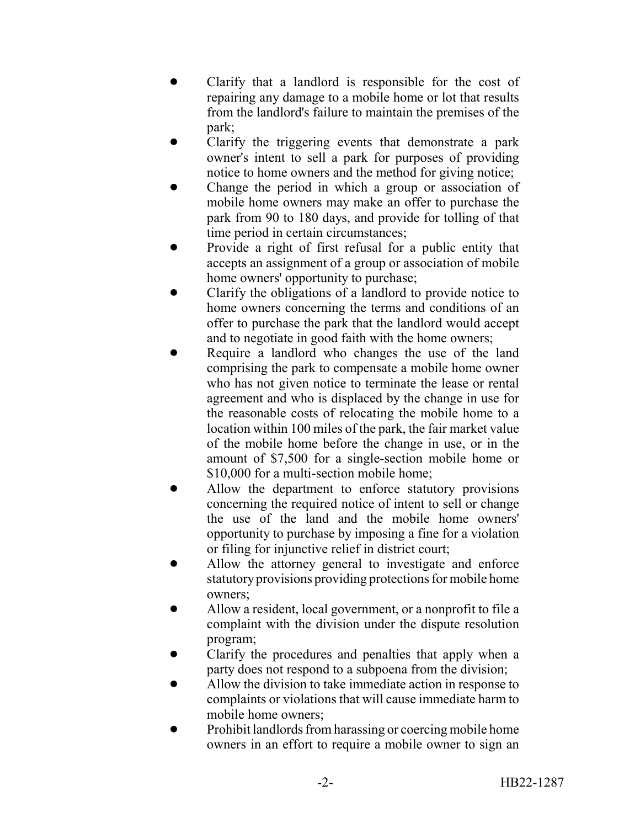- ! Clarify that a landlord is responsible for the cost of repairing any damage to a mobile home or lot that results from the landlord's failure to maintain the premises of the park;
- ! Clarify the triggering events that demonstrate a park owner's intent to sell a park for purposes of providing notice to home owners and the method for giving notice;
- ! Change the period in which a group or association of mobile home owners may make an offer to purchase the park from 90 to 180 days, and provide for tolling of that time period in certain circumstances;
- Provide a right of first refusal for a public entity that accepts an assignment of a group or association of mobile home owners' opportunity to purchase;
- ! Clarify the obligations of a landlord to provide notice to home owners concerning the terms and conditions of an offer to purchase the park that the landlord would accept and to negotiate in good faith with the home owners;
- Require a landlord who changes the use of the land comprising the park to compensate a mobile home owner who has not given notice to terminate the lease or rental agreement and who is displaced by the change in use for the reasonable costs of relocating the mobile home to a location within 100 miles of the park, the fair market value of the mobile home before the change in use, or in the amount of \$7,500 for a single-section mobile home or \$10,000 for a multi-section mobile home;
- ! Allow the department to enforce statutory provisions concerning the required notice of intent to sell or change the use of the land and the mobile home owners' opportunity to purchase by imposing a fine for a violation or filing for injunctive relief in district court;
- Allow the attorney general to investigate and enforce statutory provisions providing protections for mobile home owners;
- Allow a resident, local government, or a nonprofit to file a complaint with the division under the dispute resolution program;
- ! Clarify the procedures and penalties that apply when a party does not respond to a subpoena from the division;
- ! Allow the division to take immediate action in response to complaints or violations that will cause immediate harm to mobile home owners;
- Prohibit landlords from harassing or coercing mobile home owners in an effort to require a mobile owner to sign an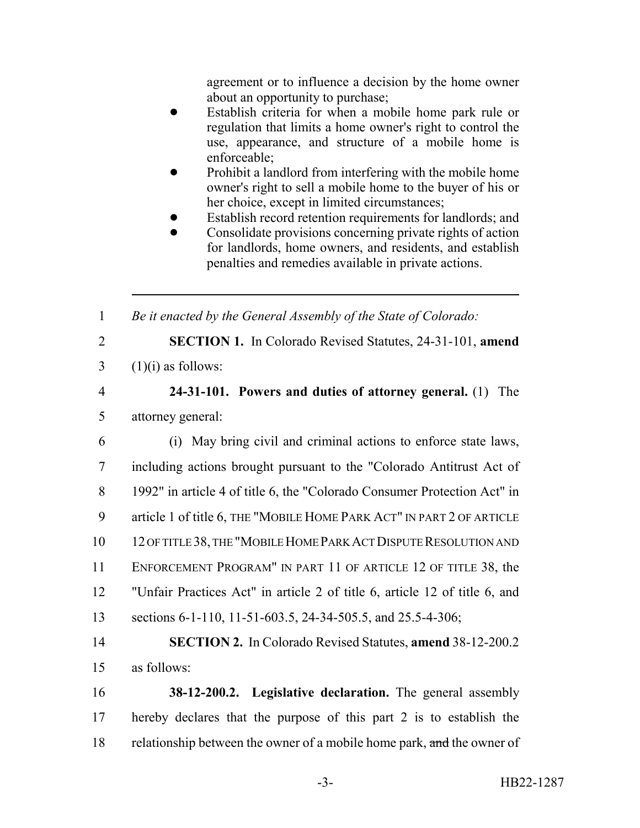agreement or to influence a decision by the home owner about an opportunity to purchase;

- Establish criteria for when a mobile home park rule or regulation that limits a home owner's right to control the use, appearance, and structure of a mobile home is enforceable;
- Prohibit a landlord from interfering with the mobile home owner's right to sell a mobile home to the buyer of his or her choice, except in limited circumstances;
- Establish record retention requirements for landlords; and
- ! Consolidate provisions concerning private rights of action for landlords, home owners, and residents, and establish penalties and remedies available in private actions.

1 *Be it enacted by the General Assembly of the State of Colorado:*

- 
- 

2 **SECTION 1.** In Colorado Revised Statutes, 24-31-101, **amend**  $3$  (1)(i) as follows:

- 4 **24-31-101. Powers and duties of attorney general.** (1) The 5 attorney general:
- 6 (i) May bring civil and criminal actions to enforce state laws, 7 including actions brought pursuant to the "Colorado Antitrust Act of 8 1992" in article 4 of title 6, the "Colorado Consumer Protection Act" in 9 article 1 of title 6, THE "MOBILE HOME PARK ACT" IN PART 2 OF ARTICLE 10 12 OF TITLE 38, THE "MOBILE HOME PARK ACT DISPUTE RESOLUTION AND 11 ENFORCEMENT PROGRAM" IN PART 11 OF ARTICLE 12 OF TITLE 38, the 12 "Unfair Practices Act" in article 2 of title 6, article 12 of title 6, and 13 sections 6-1-110, 11-51-603.5, 24-34-505.5, and 25.5-4-306;
- 14 **SECTION 2.** In Colorado Revised Statutes, **amend** 38-12-200.2 15 as follows:
- 16 **38-12-200.2. Legislative declaration.** The general assembly 17 hereby declares that the purpose of this part 2 is to establish the 18 relationship between the owner of a mobile home park, and the owner of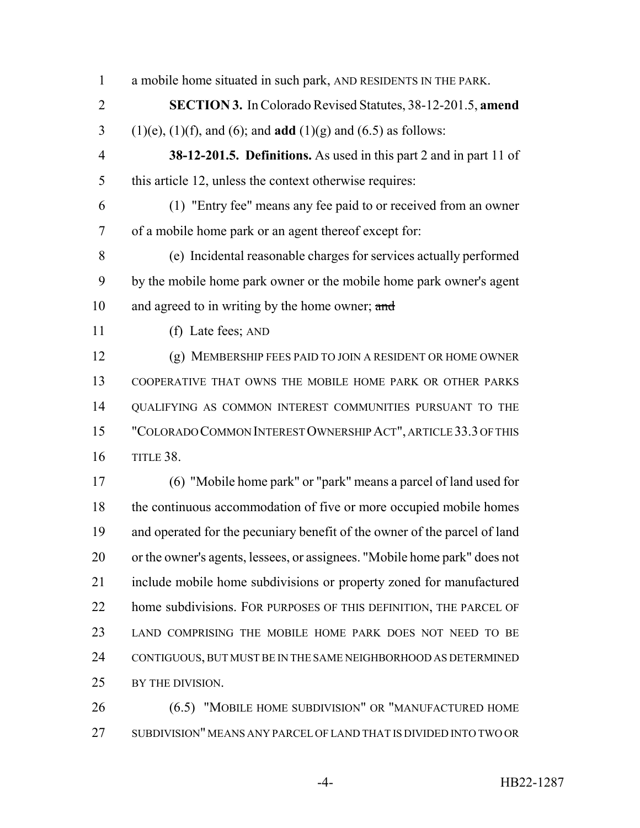a mobile home situated in such park, AND RESIDENTS IN THE PARK. **SECTION 3.** In Colorado Revised Statutes, 38-12-201.5, **amend** (1)(e), (1)(f), and (6); and **add** (1)(g) and (6.5) as follows: **38-12-201.5. Definitions.** As used in this part 2 and in part 11 of this article 12, unless the context otherwise requires: (1) "Entry fee" means any fee paid to or received from an owner of a mobile home park or an agent thereof except for: (e) Incidental reasonable charges for services actually performed by the mobile home park owner or the mobile home park owner's agent and agreed to in writing by the home owner; and (f) Late fees; AND (g) MEMBERSHIP FEES PAID TO JOIN A RESIDENT OR HOME OWNER COOPERATIVE THAT OWNS THE MOBILE HOME PARK OR OTHER PARKS QUALIFYING AS COMMON INTEREST COMMUNITIES PURSUANT TO THE "COLORADO COMMON INTEREST OWNERSHIP ACT", ARTICLE 33.3 OF THIS TITLE 38. (6) "Mobile home park" or "park" means a parcel of land used for 18 the continuous accommodation of five or more occupied mobile homes and operated for the pecuniary benefit of the owner of the parcel of land or the owner's agents, lessees, or assignees. "Mobile home park" does not include mobile home subdivisions or property zoned for manufactured 22 home subdivisions. FOR PURPOSES OF THIS DEFINITION, THE PARCEL OF LAND COMPRISING THE MOBILE HOME PARK DOES NOT NEED TO BE CONTIGUOUS, BUT MUST BE IN THE SAME NEIGHBORHOOD AS DETERMINED BY THE DIVISION. (6.5) "MOBILE HOME SUBDIVISION" OR "MANUFACTURED HOME

SUBDIVISION" MEANS ANY PARCEL OF LAND THAT IS DIVIDED INTO TWO OR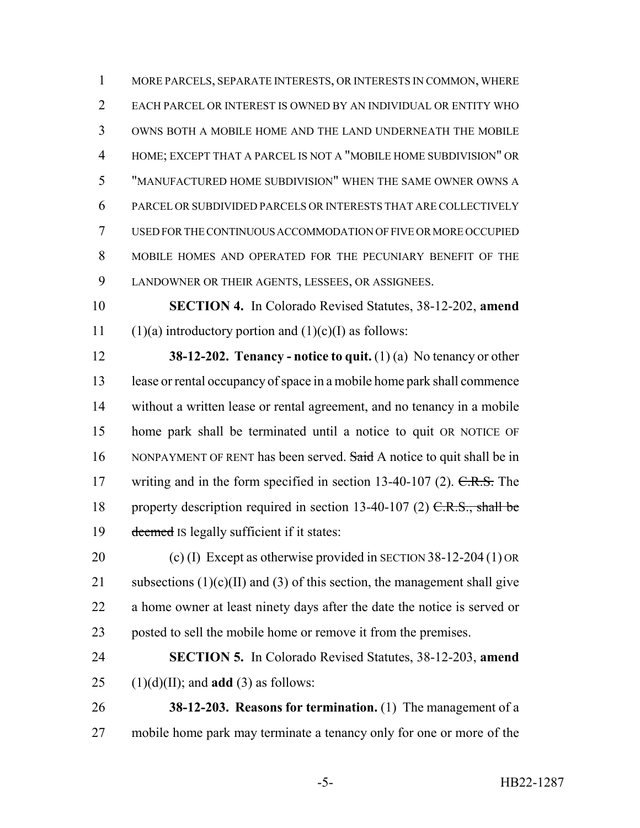MORE PARCELS, SEPARATE INTERESTS, OR INTERESTS IN COMMON, WHERE EACH PARCEL OR INTEREST IS OWNED BY AN INDIVIDUAL OR ENTITY WHO OWNS BOTH A MOBILE HOME AND THE LAND UNDERNEATH THE MOBILE HOME; EXCEPT THAT A PARCEL IS NOT A "MOBILE HOME SUBDIVISION" OR "MANUFACTURED HOME SUBDIVISION" WHEN THE SAME OWNER OWNS A PARCEL OR SUBDIVIDED PARCELS OR INTERESTS THAT ARE COLLECTIVELY USED FOR THE CONTINUOUS ACCOMMODATION OF FIVE OR MORE OCCUPIED MOBILE HOMES AND OPERATED FOR THE PECUNIARY BENEFIT OF THE LANDOWNER OR THEIR AGENTS, LESSEES, OR ASSIGNEES.

 **SECTION 4.** In Colorado Revised Statutes, 38-12-202, **amend** 11 (1)(a) introductory portion and  $(1)(c)(I)$  as follows:

 **38-12-202. Tenancy - notice to quit.** (1) (a) No tenancy or other lease or rental occupancy of space in a mobile home park shall commence without a written lease or rental agreement, and no tenancy in a mobile home park shall be terminated until a notice to quit OR NOTICE OF 16 NONPAYMENT OF RENT has been served. Said A notice to quit shall be in 17 writing and in the form specified in section 13-40-107 (2). C.R.S. The 18 property description required in section 13-40-107 (2)  $C.R.S.,$  shall be deemed IS legally sufficient if it states:

 (c) (I) Except as otherwise provided in SECTION 38-12-204 (1) OR 21 subsections  $(1)(c)(II)$  and  $(3)$  of this section, the management shall give a home owner at least ninety days after the date the notice is served or posted to sell the mobile home or remove it from the premises.

 **SECTION 5.** In Colorado Revised Statutes, 38-12-203, **amend** (1)(d)(II); and **add** (3) as follows:

 **38-12-203. Reasons for termination.** (1) The management of a mobile home park may terminate a tenancy only for one or more of the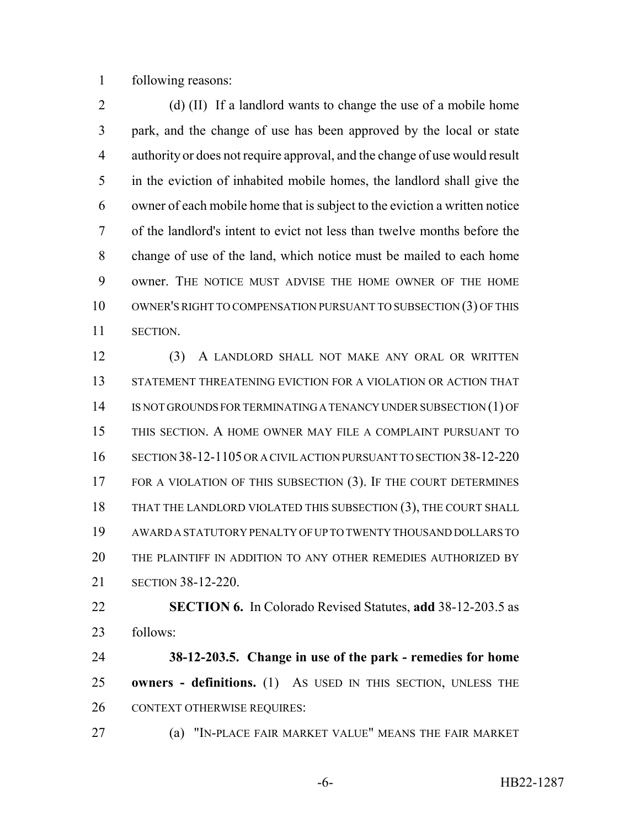following reasons:

2 (d) (II) If a landlord wants to change the use of a mobile home park, and the change of use has been approved by the local or state authority or does not require approval, and the change of use would result in the eviction of inhabited mobile homes, the landlord shall give the owner of each mobile home that is subject to the eviction a written notice of the landlord's intent to evict not less than twelve months before the change of use of the land, which notice must be mailed to each home owner. THE NOTICE MUST ADVISE THE HOME OWNER OF THE HOME 10 OWNER'S RIGHT TO COMPENSATION PURSUANT TO SUBSECTION (3) OF THIS SECTION.

 (3) A LANDLORD SHALL NOT MAKE ANY ORAL OR WRITTEN STATEMENT THREATENING EVICTION FOR A VIOLATION OR ACTION THAT IS NOT GROUNDS FOR TERMINATING A TENANCY UNDER SUBSECTION (1) OF THIS SECTION. A HOME OWNER MAY FILE A COMPLAINT PURSUANT TO SECTION 38-12-1105 OR A CIVIL ACTION PURSUANT TO SECTION 38-12-220 17 FOR A VIOLATION OF THIS SUBSECTION (3). IF THE COURT DETERMINES THAT THE LANDLORD VIOLATED THIS SUBSECTION (3), THE COURT SHALL AWARD A STATUTORY PENALTY OF UP TO TWENTY THOUSAND DOLLARS TO THE PLAINTIFF IN ADDITION TO ANY OTHER REMEDIES AUTHORIZED BY SECTION 38-12-220.

 **SECTION 6.** In Colorado Revised Statutes, **add** 38-12-203.5 as follows:

 **38-12-203.5. Change in use of the park - remedies for home owners - definitions.** (1) AS USED IN THIS SECTION, UNLESS THE 26 CONTEXT OTHERWISE REQUIRES:

(a) "IN-PLACE FAIR MARKET VALUE" MEANS THE FAIR MARKET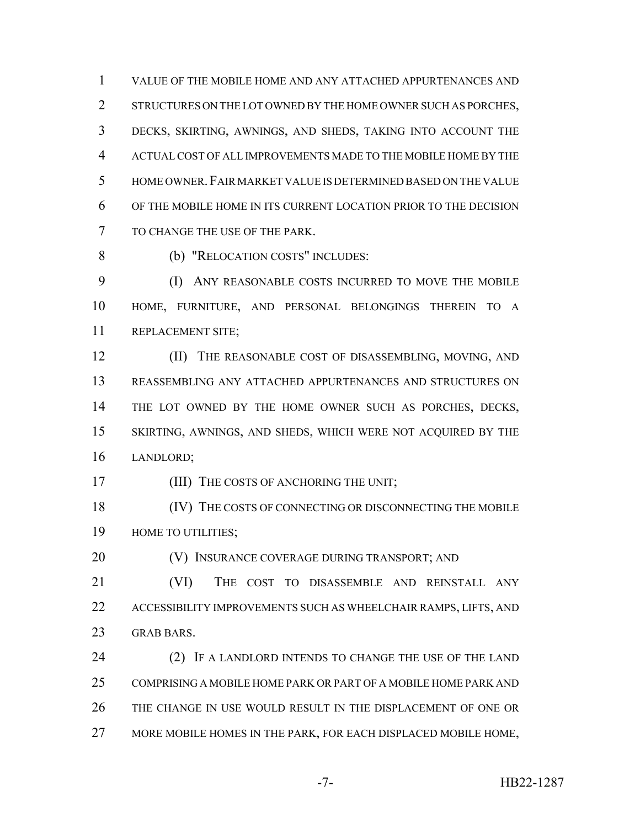VALUE OF THE MOBILE HOME AND ANY ATTACHED APPURTENANCES AND 2 STRUCTURES ON THE LOT OWNED BY THE HOME OWNER SUCH AS PORCHES. DECKS, SKIRTING, AWNINGS, AND SHEDS, TAKING INTO ACCOUNT THE ACTUAL COST OF ALL IMPROVEMENTS MADE TO THE MOBILE HOME BY THE HOME OWNER.FAIR MARKET VALUE IS DETERMINED BASED ON THE VALUE OF THE MOBILE HOME IN ITS CURRENT LOCATION PRIOR TO THE DECISION TO CHANGE THE USE OF THE PARK.

(b) "RELOCATION COSTS" INCLUDES:

 (I) ANY REASONABLE COSTS INCURRED TO MOVE THE MOBILE HOME, FURNITURE, AND PERSONAL BELONGINGS THEREIN TO A REPLACEMENT SITE;

12 (II) THE REASONABLE COST OF DISASSEMBLING, MOVING, AND REASSEMBLING ANY ATTACHED APPURTENANCES AND STRUCTURES ON THE LOT OWNED BY THE HOME OWNER SUCH AS PORCHES, DECKS, SKIRTING, AWNINGS, AND SHEDS, WHICH WERE NOT ACQUIRED BY THE LANDLORD;

17 (III) THE COSTS OF ANCHORING THE UNIT;

18 (IV) THE COSTS OF CONNECTING OR DISCONNECTING THE MOBILE **HOME TO UTILITIES;** 

(V) INSURANCE COVERAGE DURING TRANSPORT; AND

 (VI) THE COST TO DISASSEMBLE AND REINSTALL ANY ACCESSIBILITY IMPROVEMENTS SUCH AS WHEELCHAIR RAMPS, LIFTS, AND GRAB BARS.

24 (2) IF A LANDLORD INTENDS TO CHANGE THE USE OF THE LAND COMPRISING A MOBILE HOME PARK OR PART OF A MOBILE HOME PARK AND THE CHANGE IN USE WOULD RESULT IN THE DISPLACEMENT OF ONE OR 27 MORE MOBILE HOMES IN THE PARK, FOR EACH DISPLACED MOBILE HOME,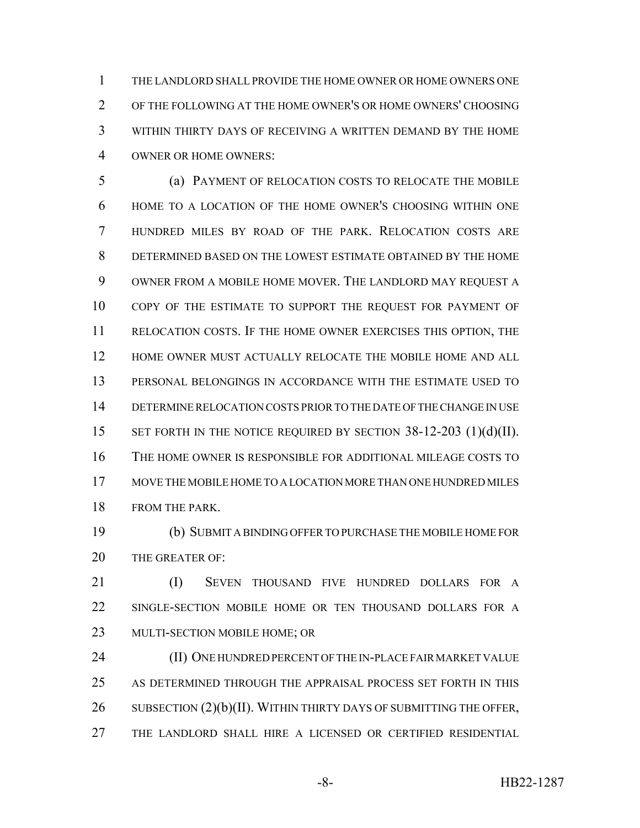THE LANDLORD SHALL PROVIDE THE HOME OWNER OR HOME OWNERS ONE OF THE FOLLOWING AT THE HOME OWNER'S OR HOME OWNERS' CHOOSING WITHIN THIRTY DAYS OF RECEIVING A WRITTEN DEMAND BY THE HOME OWNER OR HOME OWNERS:

 (a) PAYMENT OF RELOCATION COSTS TO RELOCATE THE MOBILE HOME TO A LOCATION OF THE HOME OWNER'S CHOOSING WITHIN ONE HUNDRED MILES BY ROAD OF THE PARK. RELOCATION COSTS ARE DETERMINED BASED ON THE LOWEST ESTIMATE OBTAINED BY THE HOME OWNER FROM A MOBILE HOME MOVER. THE LANDLORD MAY REQUEST A 10 COPY OF THE ESTIMATE TO SUPPORT THE REQUEST FOR PAYMENT OF RELOCATION COSTS. IF THE HOME OWNER EXERCISES THIS OPTION, THE HOME OWNER MUST ACTUALLY RELOCATE THE MOBILE HOME AND ALL PERSONAL BELONGINGS IN ACCORDANCE WITH THE ESTIMATE USED TO DETERMINE RELOCATION COSTS PRIOR TO THE DATE OF THE CHANGE IN USE 15 SET FORTH IN THE NOTICE REQUIRED BY SECTION 38-12-203 (1)(d)(II). THE HOME OWNER IS RESPONSIBLE FOR ADDITIONAL MILEAGE COSTS TO MOVE THE MOBILE HOME TO A LOCATION MORE THAN ONE HUNDRED MILES 18 FROM THE PARK.

 (b) SUBMIT A BINDING OFFER TO PURCHASE THE MOBILE HOME FOR 20 THE GREATER OF:

 (I) SEVEN THOUSAND FIVE HUNDRED DOLLARS FOR A SINGLE-SECTION MOBILE HOME OR TEN THOUSAND DOLLARS FOR A MULTI-SECTION MOBILE HOME; OR

 (II) ONE HUNDRED PERCENT OF THE IN-PLACE FAIR MARKET VALUE AS DETERMINED THROUGH THE APPRAISAL PROCESS SET FORTH IN THIS 26 SUBSECTION (2)(b)(II). WITHIN THIRTY DAYS OF SUBMITTING THE OFFER, THE LANDLORD SHALL HIRE A LICENSED OR CERTIFIED RESIDENTIAL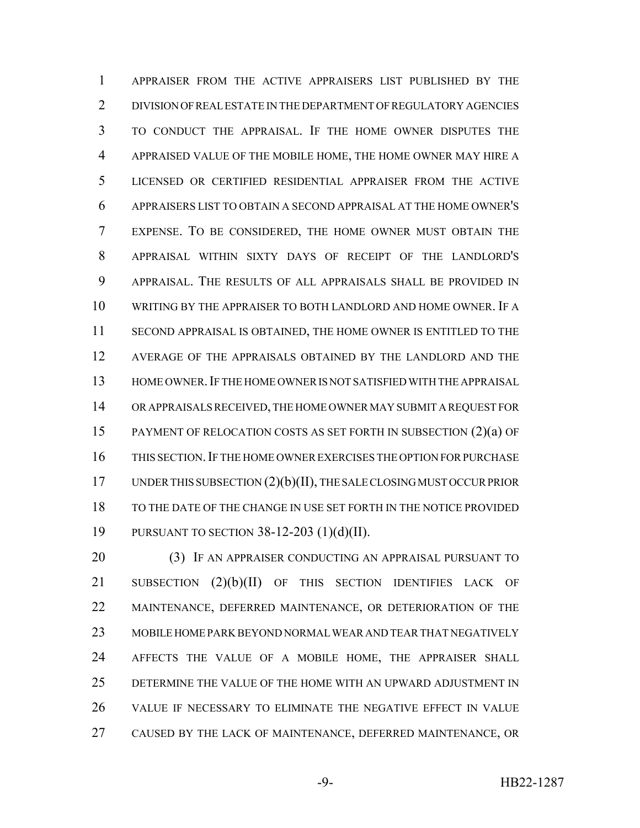APPRAISER FROM THE ACTIVE APPRAISERS LIST PUBLISHED BY THE DIVISION OF REAL ESTATE IN THE DEPARTMENT OF REGULATORY AGENCIES TO CONDUCT THE APPRAISAL. IF THE HOME OWNER DISPUTES THE APPRAISED VALUE OF THE MOBILE HOME, THE HOME OWNER MAY HIRE A LICENSED OR CERTIFIED RESIDENTIAL APPRAISER FROM THE ACTIVE APPRAISERS LIST TO OBTAIN A SECOND APPRAISAL AT THE HOME OWNER'S EXPENSE. TO BE CONSIDERED, THE HOME OWNER MUST OBTAIN THE APPRAISAL WITHIN SIXTY DAYS OF RECEIPT OF THE LANDLORD'S APPRAISAL. THE RESULTS OF ALL APPRAISALS SHALL BE PROVIDED IN WRITING BY THE APPRAISER TO BOTH LANDLORD AND HOME OWNER. IF A SECOND APPRAISAL IS OBTAINED, THE HOME OWNER IS ENTITLED TO THE AVERAGE OF THE APPRAISALS OBTAINED BY THE LANDLORD AND THE HOME OWNER.IF THE HOME OWNER IS NOT SATISFIED WITH THE APPRAISAL OR APPRAISALS RECEIVED, THE HOME OWNER MAY SUBMIT A REQUEST FOR PAYMENT OF RELOCATION COSTS AS SET FORTH IN SUBSECTION (2)(a) OF THIS SECTION.IF THE HOME OWNER EXERCISES THE OPTION FOR PURCHASE 17 UNDER THIS SUBSECTION  $(2)(b)(II)$ , THE SALE CLOSING MUST OCCUR PRIOR TO THE DATE OF THE CHANGE IN USE SET FORTH IN THE NOTICE PROVIDED PURSUANT TO SECTION 38-12-203 (1)(d)(II).

20 (3) IF AN APPRAISER CONDUCTING AN APPRAISAL PURSUANT TO 21 SUBSECTION (2)(b)(II) OF THIS SECTION IDENTIFIES LACK OF MAINTENANCE, DEFERRED MAINTENANCE, OR DETERIORATION OF THE MOBILE HOME PARK BEYOND NORMAL WEAR AND TEAR THAT NEGATIVELY AFFECTS THE VALUE OF A MOBILE HOME, THE APPRAISER SHALL DETERMINE THE VALUE OF THE HOME WITH AN UPWARD ADJUSTMENT IN VALUE IF NECESSARY TO ELIMINATE THE NEGATIVE EFFECT IN VALUE CAUSED BY THE LACK OF MAINTENANCE, DEFERRED MAINTENANCE, OR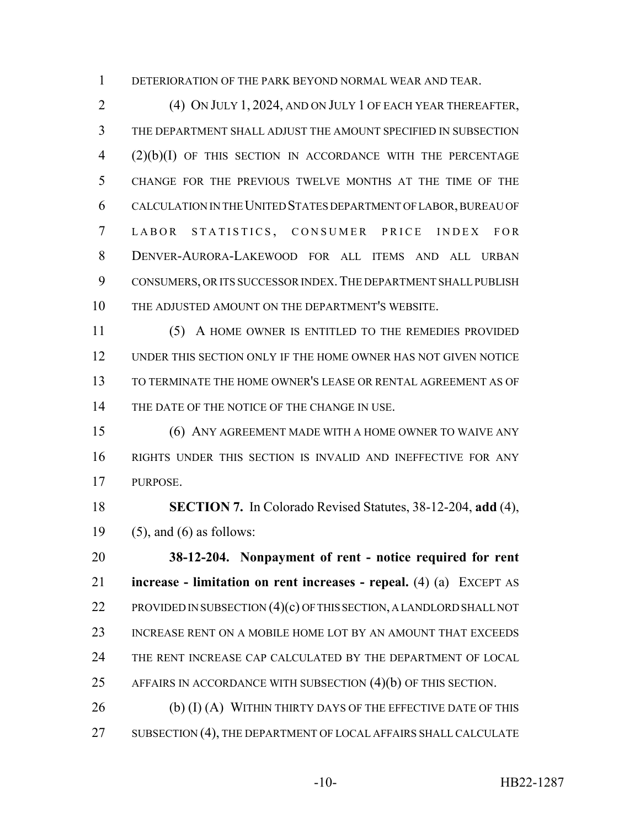DETERIORATION OF THE PARK BEYOND NORMAL WEAR AND TEAR.

 (4) ON JULY 1, 2024, AND ON JULY 1 OF EACH YEAR THEREAFTER, THE DEPARTMENT SHALL ADJUST THE AMOUNT SPECIFIED IN SUBSECTION (2)(b)(I) OF THIS SECTION IN ACCORDANCE WITH THE PERCENTAGE CHANGE FOR THE PREVIOUS TWELVE MONTHS AT THE TIME OF THE CALCULATION IN THE UNITED STATES DEPARTMENT OF LABOR, BUREAU OF LABOR STATISTICS , CONSUMER PRICE INDEX FOR DENVER-AURORA-LAKEWOOD FOR ALL ITEMS AND ALL URBAN CONSUMERS, OR ITS SUCCESSOR INDEX.THE DEPARTMENT SHALL PUBLISH THE ADJUSTED AMOUNT ON THE DEPARTMENT'S WEBSITE.

 (5) A HOME OWNER IS ENTITLED TO THE REMEDIES PROVIDED UNDER THIS SECTION ONLY IF THE HOME OWNER HAS NOT GIVEN NOTICE TO TERMINATE THE HOME OWNER'S LEASE OR RENTAL AGREEMENT AS OF 14 THE DATE OF THE NOTICE OF THE CHANGE IN USE.

 (6) ANY AGREEMENT MADE WITH A HOME OWNER TO WAIVE ANY RIGHTS UNDER THIS SECTION IS INVALID AND INEFFECTIVE FOR ANY PURPOSE.

 **SECTION 7.** In Colorado Revised Statutes, 38-12-204, **add** (4), (5), and (6) as follows:

 **38-12-204. Nonpayment of rent - notice required for rent increase - limitation on rent increases - repeal.** (4) (a) EXCEPT AS 22 PROVIDED IN SUBSECTION (4)(c) OF THIS SECTION, A LANDLORD SHALL NOT INCREASE RENT ON A MOBILE HOME LOT BY AN AMOUNT THAT EXCEEDS THE RENT INCREASE CAP CALCULATED BY THE DEPARTMENT OF LOCAL AFFAIRS IN ACCORDANCE WITH SUBSECTION (4)(b) OF THIS SECTION.

26 (b) (I) (A) WITHIN THIRTY DAYS OF THE EFFECTIVE DATE OF THIS 27 SUBSECTION (4), THE DEPARTMENT OF LOCAL AFFAIRS SHALL CALCULATE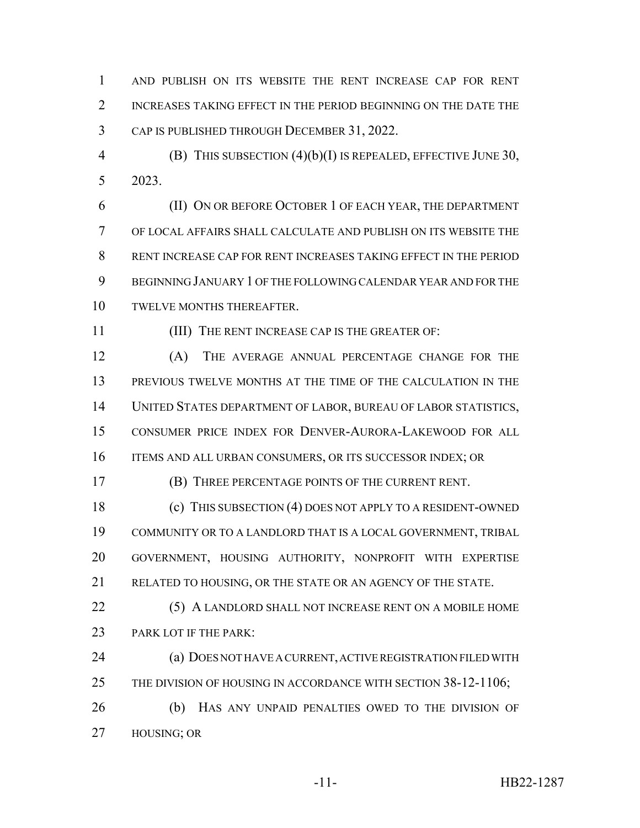AND PUBLISH ON ITS WEBSITE THE RENT INCREASE CAP FOR RENT 2 INCREASES TAKING EFFECT IN THE PERIOD BEGINNING ON THE DATE THE CAP IS PUBLISHED THROUGH DECEMBER 31, 2022.

 (B) THIS SUBSECTION (4)(b)(I) IS REPEALED, EFFECTIVE JUNE 30, 2023.

 (II) ON OR BEFORE OCTOBER 1 OF EACH YEAR, THE DEPARTMENT OF LOCAL AFFAIRS SHALL CALCULATE AND PUBLISH ON ITS WEBSITE THE RENT INCREASE CAP FOR RENT INCREASES TAKING EFFECT IN THE PERIOD BEGINNING JANUARY 1 OF THE FOLLOWING CALENDAR YEAR AND FOR THE TWELVE MONTHS THEREAFTER.

(III) THE RENT INCREASE CAP IS THE GREATER OF:

 (A) THE AVERAGE ANNUAL PERCENTAGE CHANGE FOR THE PREVIOUS TWELVE MONTHS AT THE TIME OF THE CALCULATION IN THE UNITED STATES DEPARTMENT OF LABOR, BUREAU OF LABOR STATISTICS, CONSUMER PRICE INDEX FOR DENVER-AURORA-LAKEWOOD FOR ALL 16 ITEMS AND ALL URBAN CONSUMERS, OR ITS SUCCESSOR INDEX; OR

(B) THREE PERCENTAGE POINTS OF THE CURRENT RENT.

 (c) THIS SUBSECTION (4) DOES NOT APPLY TO A RESIDENT-OWNED COMMUNITY OR TO A LANDLORD THAT IS A LOCAL GOVERNMENT, TRIBAL GOVERNMENT, HOUSING AUTHORITY, NONPROFIT WITH EXPERTISE RELATED TO HOUSING, OR THE STATE OR AN AGENCY OF THE STATE.

 (5) A LANDLORD SHALL NOT INCREASE RENT ON A MOBILE HOME 23 PARK LOT IF THE PARK:

 (a) DOES NOT HAVE A CURRENT, ACTIVE REGISTRATION FILED WITH 25 THE DIVISION OF HOUSING IN ACCORDANCE WITH SECTION 38-12-1106; (b) HAS ANY UNPAID PENALTIES OWED TO THE DIVISION OF HOUSING; OR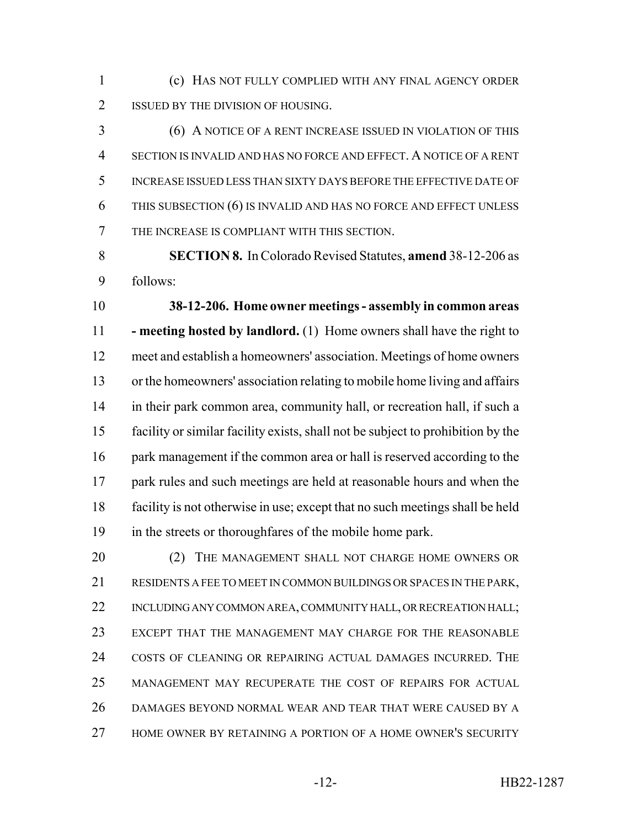(c) HAS NOT FULLY COMPLIED WITH ANY FINAL AGENCY ORDER 2 ISSUED BY THE DIVISION OF HOUSING.

 (6) A NOTICE OF A RENT INCREASE ISSUED IN VIOLATION OF THIS SECTION IS INVALID AND HAS NO FORCE AND EFFECT. A NOTICE OF A RENT INCREASE ISSUED LESS THAN SIXTY DAYS BEFORE THE EFFECTIVE DATE OF 6 THIS SUBSECTION (6) IS INVALID AND HAS NO FORCE AND EFFECT UNLESS THE INCREASE IS COMPLIANT WITH THIS SECTION.

 **SECTION 8.** In Colorado Revised Statutes, **amend** 38-12-206 as follows:

 **38-12-206. Home owner meetings - assembly in common areas - meeting hosted by landlord.** (1) Home owners shall have the right to meet and establish a homeowners' association. Meetings of home owners or the homeowners' association relating to mobile home living and affairs in their park common area, community hall, or recreation hall, if such a facility or similar facility exists, shall not be subject to prohibition by the 16 park management if the common area or hall is reserved according to the 17 park rules and such meetings are held at reasonable hours and when the facility is not otherwise in use; except that no such meetings shall be held in the streets or thoroughfares of the mobile home park.

**20 C2 C2 CHANAGEMENT SHALL NOT CHARGE HOME OWNERS OR**  RESIDENTS A FEE TO MEET IN COMMON BUILDINGS OR SPACES IN THE PARK, 22 INCLUDING ANY COMMON AREA, COMMUNITY HALL, OR RECREATION HALL; EXCEPT THAT THE MANAGEMENT MAY CHARGE FOR THE REASONABLE COSTS OF CLEANING OR REPAIRING ACTUAL DAMAGES INCURRED. THE MANAGEMENT MAY RECUPERATE THE COST OF REPAIRS FOR ACTUAL DAMAGES BEYOND NORMAL WEAR AND TEAR THAT WERE CAUSED BY A HOME OWNER BY RETAINING A PORTION OF A HOME OWNER'S SECURITY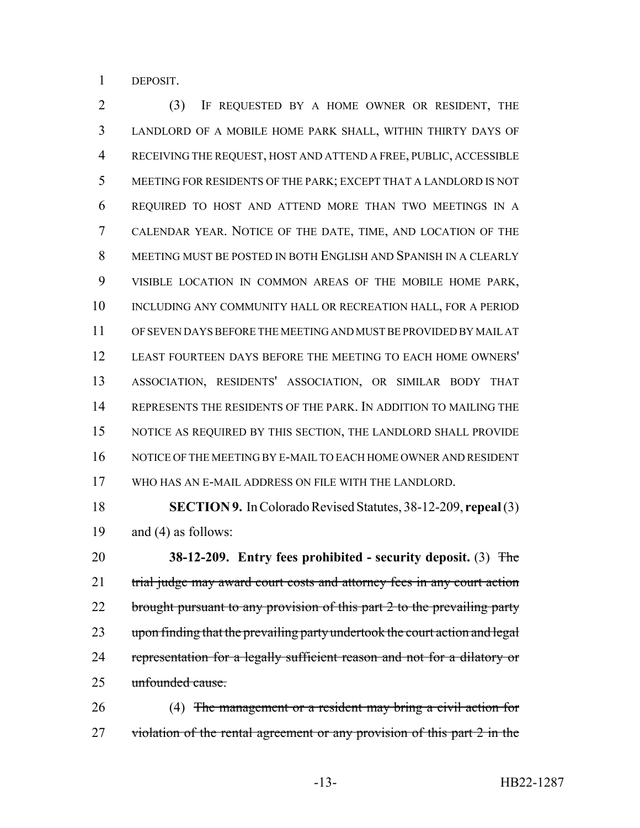DEPOSIT.

 (3) IF REQUESTED BY A HOME OWNER OR RESIDENT, THE LANDLORD OF A MOBILE HOME PARK SHALL, WITHIN THIRTY DAYS OF RECEIVING THE REQUEST, HOST AND ATTEND A FREE, PUBLIC, ACCESSIBLE MEETING FOR RESIDENTS OF THE PARK; EXCEPT THAT A LANDLORD IS NOT REQUIRED TO HOST AND ATTEND MORE THAN TWO MEETINGS IN A CALENDAR YEAR. NOTICE OF THE DATE, TIME, AND LOCATION OF THE MEETING MUST BE POSTED IN BOTH ENGLISH AND SPANISH IN A CLEARLY VISIBLE LOCATION IN COMMON AREAS OF THE MOBILE HOME PARK, INCLUDING ANY COMMUNITY HALL OR RECREATION HALL, FOR A PERIOD OF SEVEN DAYS BEFORE THE MEETING AND MUST BE PROVIDED BY MAIL AT LEAST FOURTEEN DAYS BEFORE THE MEETING TO EACH HOME OWNERS' ASSOCIATION, RESIDENTS' ASSOCIATION, OR SIMILAR BODY THAT REPRESENTS THE RESIDENTS OF THE PARK. IN ADDITION TO MAILING THE NOTICE AS REQUIRED BY THIS SECTION, THE LANDLORD SHALL PROVIDE NOTICE OF THE MEETING BY E-MAIL TO EACH HOME OWNER AND RESIDENT WHO HAS AN E-MAIL ADDRESS ON FILE WITH THE LANDLORD.

 **SECTION 9.** In Colorado Revised Statutes, 38-12-209, **repeal** (3) and (4) as follows:

 **38-12-209. Entry fees prohibited - security deposit.** (3) The 21 trial judge may award court costs and attorney fees in any court action 22 brought pursuant to any provision of this part 2 to the prevailing party 23 upon finding that the prevailing party undertook the court action and legal 24 representation for a legally sufficient reason and not for a dilatory or unfounded cause.

 (4) The management or a resident may bring a civil action for 27 violation of the rental agreement or any provision of this part 2 in the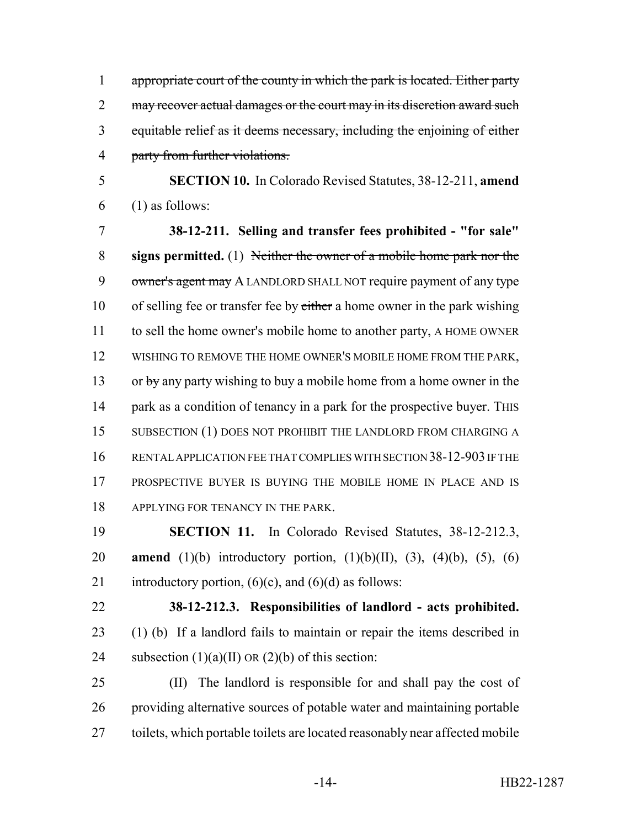1 appropriate court of the county in which the park is located. Either party 2 may recover actual damages or the court may in its discretion award such equitable relief as it deems necessary, including the enjoining of either party from further violations.

 **SECTION 10.** In Colorado Revised Statutes, 38-12-211, **amend** (1) as follows:

 **38-12-211. Selling and transfer fees prohibited - "for sale" signs permitted.** (1) Neither the owner of a mobile home park nor the 9 owner's agent may A LANDLORD SHALL NOT require payment of any type 10 of selling fee or transfer fee by either a home owner in the park wishing to sell the home owner's mobile home to another party, A HOME OWNER WISHING TO REMOVE THE HOME OWNER'S MOBILE HOME FROM THE PARK, 13 or by any party wishing to buy a mobile home from a home owner in the 14 park as a condition of tenancy in a park for the prospective buyer. This 15 SUBSECTION (1) DOES NOT PROHIBIT THE LANDLORD FROM CHARGING A RENTAL APPLICATION FEE THAT COMPLIES WITH SECTION 38-12-903 IF THE PROSPECTIVE BUYER IS BUYING THE MOBILE HOME IN PLACE AND IS 18 APPLYING FOR TENANCY IN THE PARK.

 **SECTION 11.** In Colorado Revised Statutes, 38-12-212.3, **amend** (1)(b) introductory portion, (1)(b)(II), (3), (4)(b), (5), (6) 21 introductory portion,  $(6)(c)$ , and  $(6)(d)$  as follows:

 **38-12-212.3. Responsibilities of landlord - acts prohibited.** (1) (b) If a landlord fails to maintain or repair the items described in 24 subsection  $(1)(a)(II)$  OR  $(2)(b)$  of this section:

 (II) The landlord is responsible for and shall pay the cost of providing alternative sources of potable water and maintaining portable toilets, which portable toilets are located reasonably near affected mobile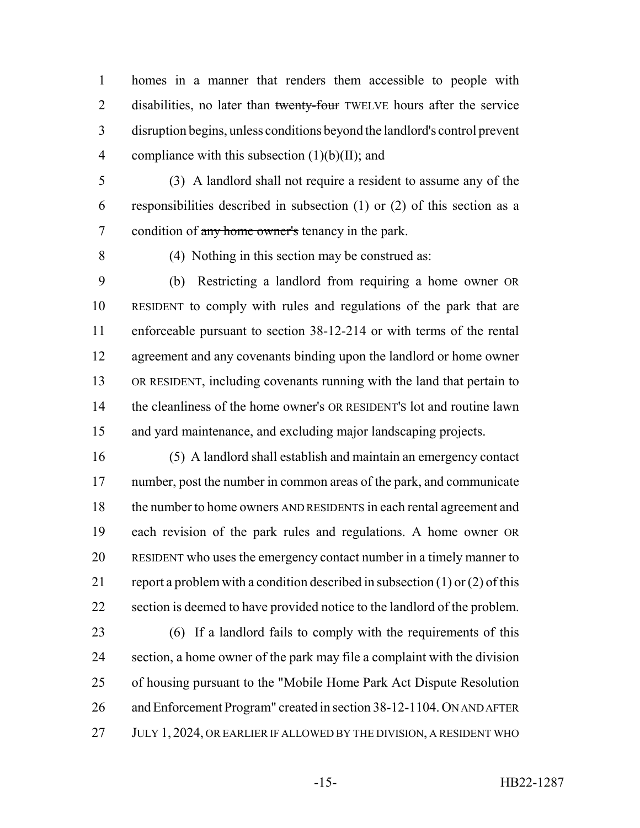homes in a manner that renders them accessible to people with 2 disabilities, no later than twenty-four TWELVE hours after the service disruption begins, unless conditions beyond the landlord's control prevent 4 compliance with this subsection  $(1)(b)(II)$ ; and

- (3) A landlord shall not require a resident to assume any of the responsibilities described in subsection (1) or (2) of this section as a 7 condition of any home owner's tenancy in the park.
- 

(4) Nothing in this section may be construed as:

 (b) Restricting a landlord from requiring a home owner OR RESIDENT to comply with rules and regulations of the park that are enforceable pursuant to section 38-12-214 or with terms of the rental agreement and any covenants binding upon the landlord or home owner OR RESIDENT, including covenants running with the land that pertain to the cleanliness of the home owner's OR RESIDENT'S lot and routine lawn and yard maintenance, and excluding major landscaping projects.

 (5) A landlord shall establish and maintain an emergency contact number, post the number in common areas of the park, and communicate 18 the number to home owners AND RESIDENTS in each rental agreement and each revision of the park rules and regulations. A home owner OR RESIDENT who uses the emergency contact number in a timely manner to 21 report a problem with a condition described in subsection  $(1)$  or  $(2)$  of this section is deemed to have provided notice to the landlord of the problem.

 (6) If a landlord fails to comply with the requirements of this section, a home owner of the park may file a complaint with the division of housing pursuant to the "Mobile Home Park Act Dispute Resolution and Enforcement Program" created in section 38-12-1104. ON AND AFTER 27 JULY 1, 2024, OR EARLIER IF ALLOWED BY THE DIVISION, A RESIDENT WHO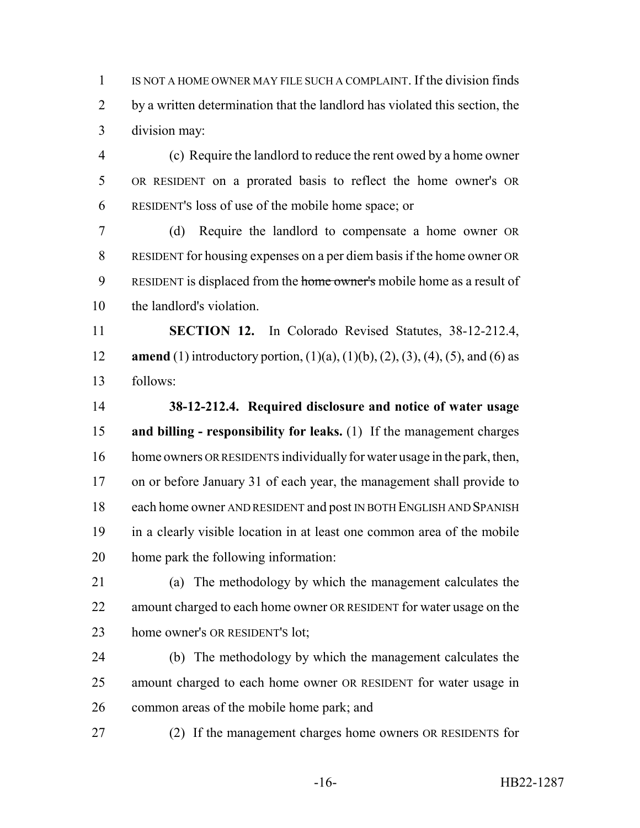IS NOT A HOME OWNER MAY FILE SUCH A COMPLAINT. If the division finds by a written determination that the landlord has violated this section, the division may:

 (c) Require the landlord to reduce the rent owed by a home owner OR RESIDENT on a prorated basis to reflect the home owner's OR RESIDENT'S loss of use of the mobile home space; or

 (d) Require the landlord to compensate a home owner OR RESIDENT for housing expenses on a per diem basis if the home owner OR 9 RESIDENT is displaced from the home owner's mobile home as a result of the landlord's violation.

 **SECTION 12.** In Colorado Revised Statutes, 38-12-212.4, **amend** (1) introductory portion, (1)(a), (1)(b), (2), (3), (4), (5), and (6) as follows:

 **38-12-212.4. Required disclosure and notice of water usage and billing - responsibility for leaks.** (1) If the management charges home owners OR RESIDENTS individually for water usage in the park, then, on or before January 31 of each year, the management shall provide to each home owner AND RESIDENT and post IN BOTH ENGLISH AND SPANISH in a clearly visible location in at least one common area of the mobile home park the following information:

 (a) The methodology by which the management calculates the 22 amount charged to each home owner OR RESIDENT for water usage on the home owner's OR RESIDENT'S lot;

 (b) The methodology by which the management calculates the amount charged to each home owner OR RESIDENT for water usage in common areas of the mobile home park; and

(2) If the management charges home owners OR RESIDENTS for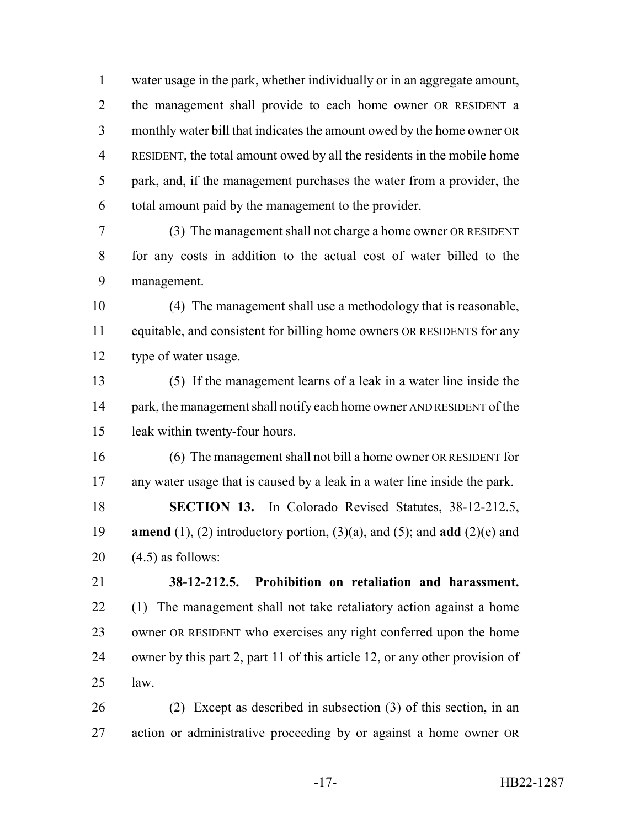water usage in the park, whether individually or in an aggregate amount, the management shall provide to each home owner OR RESIDENT a monthly water bill that indicates the amount owed by the home owner OR RESIDENT, the total amount owed by all the residents in the mobile home park, and, if the management purchases the water from a provider, the total amount paid by the management to the provider.

 (3) The management shall not charge a home owner OR RESIDENT for any costs in addition to the actual cost of water billed to the management.

 (4) The management shall use a methodology that is reasonable, equitable, and consistent for billing home owners OR RESIDENTS for any type of water usage.

 (5) If the management learns of a leak in a water line inside the 14 park, the management shall notify each home owner AND RESIDENT of the leak within twenty-four hours.

 (6) The management shall not bill a home owner OR RESIDENT for any water usage that is caused by a leak in a water line inside the park. **SECTION 13.** In Colorado Revised Statutes, 38-12-212.5, **amend** (1), (2) introductory portion, (3)(a), and (5); and **add** (2)(e) and  $20 \quad (4.5)$  as follows:

 **38-12-212.5. Prohibition on retaliation and harassment.** (1) The management shall not take retaliatory action against a home owner OR RESIDENT who exercises any right conferred upon the home owner by this part 2, part 11 of this article 12, or any other provision of law.

 (2) Except as described in subsection (3) of this section, in an action or administrative proceeding by or against a home owner OR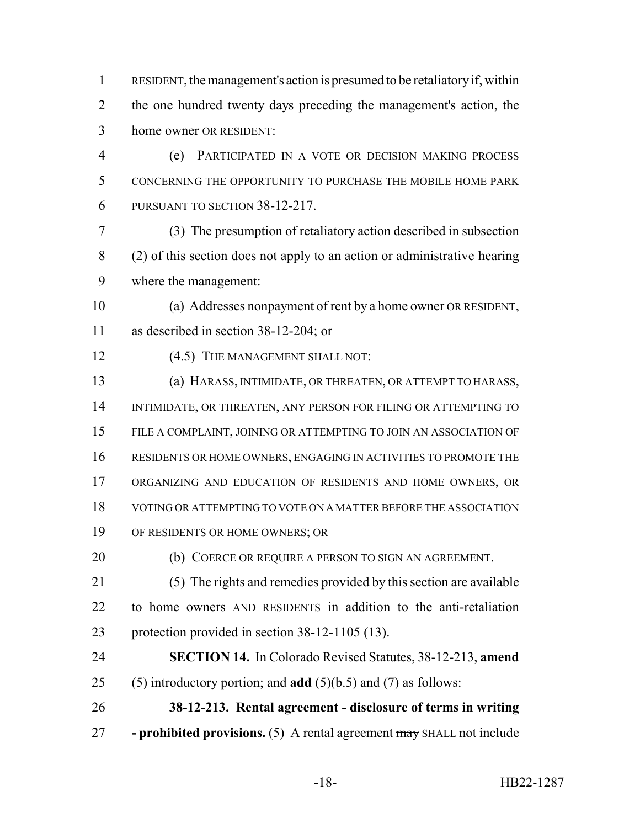RESIDENT, the management's action is presumed to be retaliatory if, within the one hundred twenty days preceding the management's action, the home owner OR RESIDENT:

 (e) PARTICIPATED IN A VOTE OR DECISION MAKING PROCESS CONCERNING THE OPPORTUNITY TO PURCHASE THE MOBILE HOME PARK PURSUANT TO SECTION 38-12-217.

 (3) The presumption of retaliatory action described in subsection (2) of this section does not apply to an action or administrative hearing where the management:

 (a) Addresses nonpayment of rent by a home owner OR RESIDENT, as described in section 38-12-204; or

12 (4.5) THE MANAGEMENT SHALL NOT:

 (a) HARASS, INTIMIDATE, OR THREATEN, OR ATTEMPT TO HARASS, INTIMIDATE, OR THREATEN, ANY PERSON FOR FILING OR ATTEMPTING TO FILE A COMPLAINT, JOINING OR ATTEMPTING TO JOIN AN ASSOCIATION OF RESIDENTS OR HOME OWNERS, ENGAGING IN ACTIVITIES TO PROMOTE THE ORGANIZING AND EDUCATION OF RESIDENTS AND HOME OWNERS, OR VOTING OR ATTEMPTING TO VOTE ON A MATTER BEFORE THE ASSOCIATION OF RESIDENTS OR HOME OWNERS; OR

(b) COERCE OR REQUIRE A PERSON TO SIGN AN AGREEMENT.

 (5) The rights and remedies provided by this section are available to home owners AND RESIDENTS in addition to the anti-retaliation protection provided in section 38-12-1105 (13).

 **SECTION 14.** In Colorado Revised Statutes, 38-12-213, **amend** (5) introductory portion; and **add** (5)(b.5) and (7) as follows:

 **38-12-213. Rental agreement - disclosure of terms in writing - prohibited provisions.** (5) A rental agreement may SHALL not include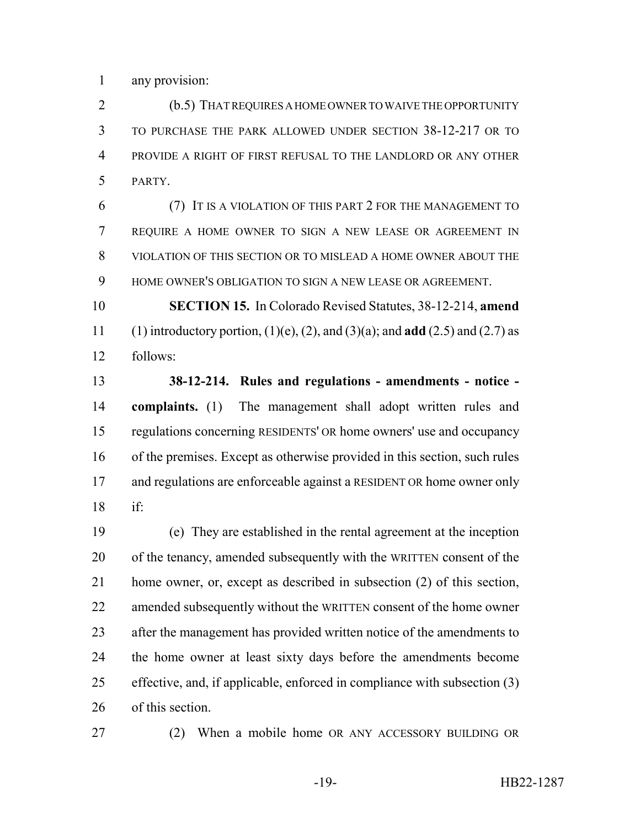any provision:

 (b.5) THAT REQUIRES A HOME OWNER TO WAIVE THE OPPORTUNITY TO PURCHASE THE PARK ALLOWED UNDER SECTION 38-12-217 OR TO PROVIDE A RIGHT OF FIRST REFUSAL TO THE LANDLORD OR ANY OTHER PARTY.

 (7) IT IS A VIOLATION OF THIS PART 2 FOR THE MANAGEMENT TO REQUIRE A HOME OWNER TO SIGN A NEW LEASE OR AGREEMENT IN VIOLATION OF THIS SECTION OR TO MISLEAD A HOME OWNER ABOUT THE HOME OWNER'S OBLIGATION TO SIGN A NEW LEASE OR AGREEMENT.

 **SECTION 15.** In Colorado Revised Statutes, 38-12-214, **amend** (1) introductory portion, (1)(e), (2), and (3)(a); and **add** (2.5) and (2.7) as follows:

 **38-12-214. Rules and regulations - amendments - notice - complaints.** (1) The management shall adopt written rules and regulations concerning RESIDENTS' OR home owners' use and occupancy of the premises. Except as otherwise provided in this section, such rules 17 and regulations are enforceable against a RESIDENT OR home owner only if:

 (e) They are established in the rental agreement at the inception of the tenancy, amended subsequently with the WRITTEN consent of the home owner, or, except as described in subsection (2) of this section, amended subsequently without the WRITTEN consent of the home owner after the management has provided written notice of the amendments to the home owner at least sixty days before the amendments become effective, and, if applicable, enforced in compliance with subsection (3) of this section.

(2) When a mobile home OR ANY ACCESSORY BUILDING OR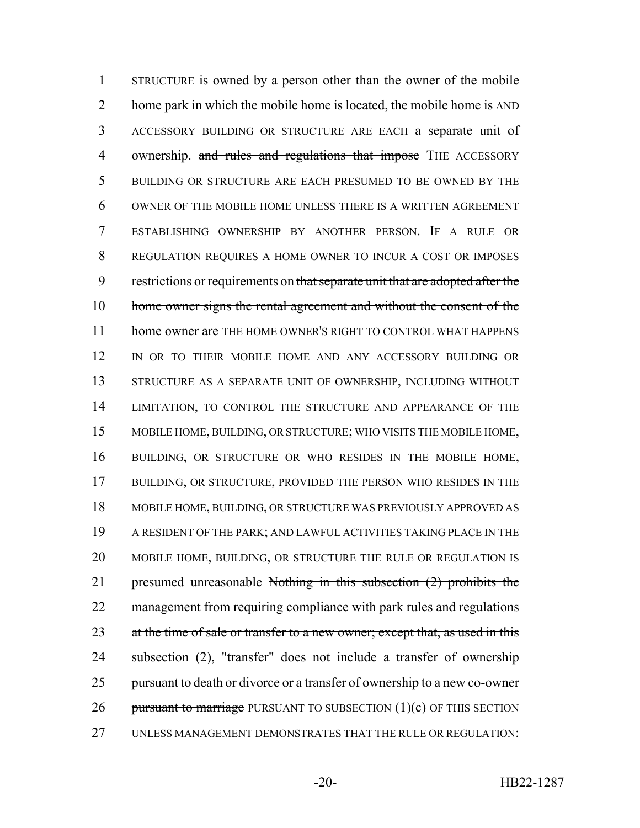1 STRUCTURE is owned by a person other than the owner of the mobile 2 home park in which the mobile home is located, the mobile home is AND 3 ACCESSORY BUILDING OR STRUCTURE ARE EACH a separate unit of 4 ownership. and rules and regulations that impose THE ACCESSORY 5 BUILDING OR STRUCTURE ARE EACH PRESUMED TO BE OWNED BY THE 6 OWNER OF THE MOBILE HOME UNLESS THERE IS A WRITTEN AGREEMENT 7 ESTABLISHING OWNERSHIP BY ANOTHER PERSON. IF A RULE OR 8 REGULATION REQUIRES A HOME OWNER TO INCUR A COST OR IMPOSES 9 restrictions or requirements on that separate unit that are adopted after the 10 home owner signs the rental agreement and without the consent of the 11 home owner are THE HOME OWNER'S RIGHT TO CONTROL WHAT HAPPENS 12 IN OR TO THEIR MOBILE HOME AND ANY ACCESSORY BUILDING OR 13 STRUCTURE AS A SEPARATE UNIT OF OWNERSHIP, INCLUDING WITHOUT 14 LIMITATION, TO CONTROL THE STRUCTURE AND APPEARANCE OF THE 15 MOBILE HOME, BUILDING, OR STRUCTURE; WHO VISITS THE MOBILE HOME, 16 BUILDING, OR STRUCTURE OR WHO RESIDES IN THE MOBILE HOME, 17 BUILDING, OR STRUCTURE, PROVIDED THE PERSON WHO RESIDES IN THE 18 MOBILE HOME, BUILDING, OR STRUCTURE WAS PREVIOUSLY APPROVED AS 19 A RESIDENT OF THE PARK; AND LAWFUL ACTIVITIES TAKING PLACE IN THE 20 MOBILE HOME, BUILDING, OR STRUCTURE THE RULE OR REGULATION IS 21 presumed unreasonable Nothing in this subsection (2) prohibits the 22 management from requiring compliance with park rules and regulations 23 at the time of sale or transfer to a new owner; except that, as used in this 24 subsection (2), "transfer" does not include a transfer of ownership 25 pursuant to death or divorce or a transfer of ownership to a new co-owner 26 pursuant to marriage PURSUANT TO SUBSECTION  $(1)(c)$  OF THIS SECTION 27 UNLESS MANAGEMENT DEMONSTRATES THAT THE RULE OR REGULATION: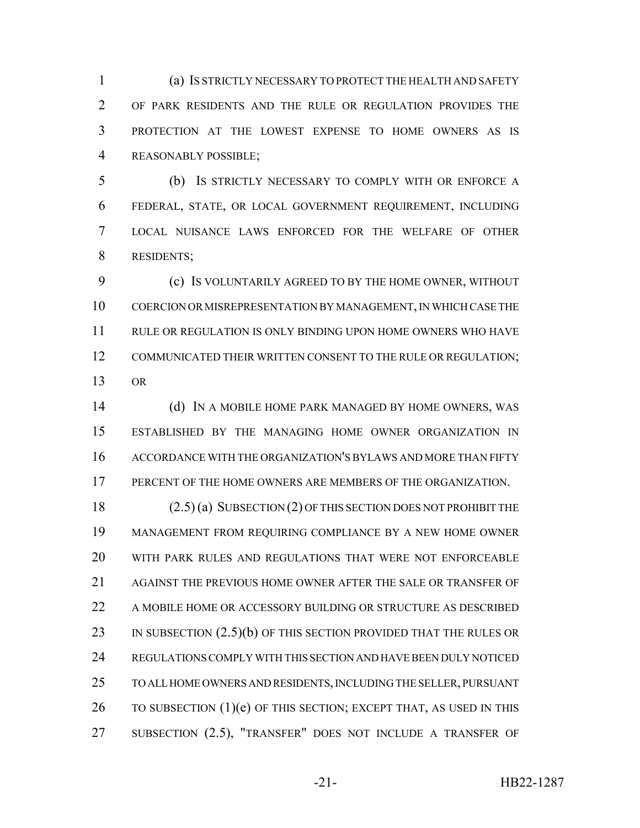(a) IS STRICTLY NECESSARY TO PROTECT THE HEALTH AND SAFETY OF PARK RESIDENTS AND THE RULE OR REGULATION PROVIDES THE PROTECTION AT THE LOWEST EXPENSE TO HOME OWNERS AS IS REASONABLY POSSIBLE;

 (b) IS STRICTLY NECESSARY TO COMPLY WITH OR ENFORCE A FEDERAL, STATE, OR LOCAL GOVERNMENT REQUIREMENT, INCLUDING LOCAL NUISANCE LAWS ENFORCED FOR THE WELFARE OF OTHER RESIDENTS;

 (c) IS VOLUNTARILY AGREED TO BY THE HOME OWNER, WITHOUT COERCION OR MISREPRESENTATION BY MANAGEMENT, IN WHICH CASE THE RULE OR REGULATION IS ONLY BINDING UPON HOME OWNERS WHO HAVE 12 COMMUNICATED THEIR WRITTEN CONSENT TO THE RULE OR REGULATION; OR

14 (d) IN A MOBILE HOME PARK MANAGED BY HOME OWNERS, WAS ESTABLISHED BY THE MANAGING HOME OWNER ORGANIZATION IN ACCORDANCE WITH THE ORGANIZATION'S BYLAWS AND MORE THAN FIFTY PERCENT OF THE HOME OWNERS ARE MEMBERS OF THE ORGANIZATION.

 (2.5) (a) SUBSECTION (2) OF THIS SECTION DOES NOT PROHIBIT THE MANAGEMENT FROM REQUIRING COMPLIANCE BY A NEW HOME OWNER WITH PARK RULES AND REGULATIONS THAT WERE NOT ENFORCEABLE AGAINST THE PREVIOUS HOME OWNER AFTER THE SALE OR TRANSFER OF 22 A MOBILE HOME OR ACCESSORY BUILDING OR STRUCTURE AS DESCRIBED 23 IN SUBSECTION (2.5)(b) OF THIS SECTION PROVIDED THAT THE RULES OR REGULATIONS COMPLY WITH THIS SECTION AND HAVE BEEN DULY NOTICED TO ALL HOME OWNERS AND RESIDENTS, INCLUDING THE SELLER, PURSUANT  $\blacksquare$  TO SUBSECTION (1)(e) OF THIS SECTION; EXCEPT THAT, AS USED IN THIS 27 SUBSECTION (2.5), "TRANSFER" DOES NOT INCLUDE A TRANSFER OF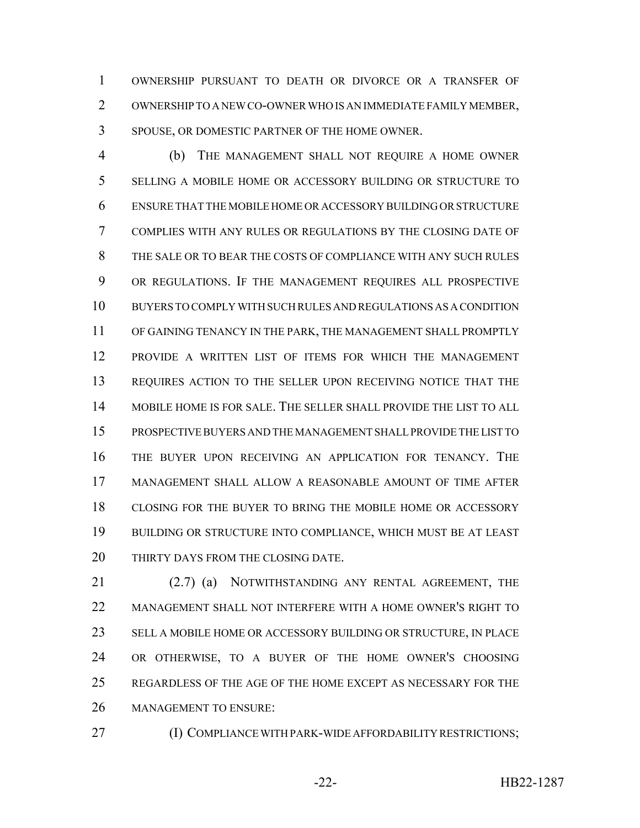OWNERSHIP PURSUANT TO DEATH OR DIVORCE OR A TRANSFER OF OWNERSHIP TO A NEW CO-OWNER WHO IS AN IMMEDIATE FAMILY MEMBER, SPOUSE, OR DOMESTIC PARTNER OF THE HOME OWNER.

 (b) THE MANAGEMENT SHALL NOT REQUIRE A HOME OWNER SELLING A MOBILE HOME OR ACCESSORY BUILDING OR STRUCTURE TO ENSURE THAT THE MOBILE HOME OR ACCESSORY BUILDING OR STRUCTURE COMPLIES WITH ANY RULES OR REGULATIONS BY THE CLOSING DATE OF THE SALE OR TO BEAR THE COSTS OF COMPLIANCE WITH ANY SUCH RULES OR REGULATIONS. IF THE MANAGEMENT REQUIRES ALL PROSPECTIVE BUYERS TO COMPLY WITH SUCH RULES AND REGULATIONS AS A CONDITION OF GAINING TENANCY IN THE PARK, THE MANAGEMENT SHALL PROMPTLY PROVIDE A WRITTEN LIST OF ITEMS FOR WHICH THE MANAGEMENT REQUIRES ACTION TO THE SELLER UPON RECEIVING NOTICE THAT THE MOBILE HOME IS FOR SALE. THE SELLER SHALL PROVIDE THE LIST TO ALL PROSPECTIVE BUYERS AND THE MANAGEMENT SHALL PROVIDE THE LIST TO THE BUYER UPON RECEIVING AN APPLICATION FOR TENANCY. THE MANAGEMENT SHALL ALLOW A REASONABLE AMOUNT OF TIME AFTER CLOSING FOR THE BUYER TO BRING THE MOBILE HOME OR ACCESSORY BUILDING OR STRUCTURE INTO COMPLIANCE, WHICH MUST BE AT LEAST 20 THIRTY DAYS FROM THE CLOSING DATE.

21 (2.7) (a) NOTWITHSTANDING ANY RENTAL AGREEMENT, THE MANAGEMENT SHALL NOT INTERFERE WITH A HOME OWNER'S RIGHT TO SELL A MOBILE HOME OR ACCESSORY BUILDING OR STRUCTURE, IN PLACE OR OTHERWISE, TO A BUYER OF THE HOME OWNER'S CHOOSING REGARDLESS OF THE AGE OF THE HOME EXCEPT AS NECESSARY FOR THE MANAGEMENT TO ENSURE:

(I) COMPLIANCE WITH PARK-WIDE AFFORDABILITY RESTRICTIONS;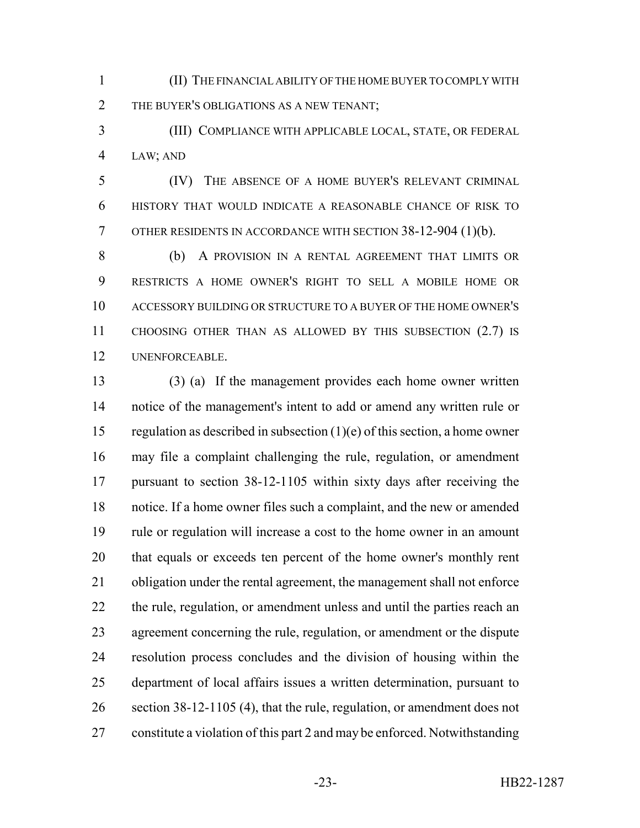(II) THE FINANCIAL ABILITY OF THE HOME BUYER TO COMPLY WITH 2 THE BUYER'S OBLIGATIONS AS A NEW TENANT;

 (III) COMPLIANCE WITH APPLICABLE LOCAL, STATE, OR FEDERAL LAW; AND

 (IV) THE ABSENCE OF A HOME BUYER'S RELEVANT CRIMINAL HISTORY THAT WOULD INDICATE A REASONABLE CHANCE OF RISK TO OTHER RESIDENTS IN ACCORDANCE WITH SECTION 38-12-904 (1)(b).

 (b) A PROVISION IN A RENTAL AGREEMENT THAT LIMITS OR RESTRICTS A HOME OWNER'S RIGHT TO SELL A MOBILE HOME OR ACCESSORY BUILDING OR STRUCTURE TO A BUYER OF THE HOME OWNER'S CHOOSING OTHER THAN AS ALLOWED BY THIS SUBSECTION (2.7) IS UNENFORCEABLE.

 (3) (a) If the management provides each home owner written notice of the management's intent to add or amend any written rule or 15 regulation as described in subsection  $(1)(e)$  of this section, a home owner may file a complaint challenging the rule, regulation, or amendment pursuant to section 38-12-1105 within sixty days after receiving the notice. If a home owner files such a complaint, and the new or amended rule or regulation will increase a cost to the home owner in an amount that equals or exceeds ten percent of the home owner's monthly rent obligation under the rental agreement, the management shall not enforce 22 the rule, regulation, or amendment unless and until the parties reach an agreement concerning the rule, regulation, or amendment or the dispute resolution process concludes and the division of housing within the department of local affairs issues a written determination, pursuant to 26 section 38-12-1105 (4), that the rule, regulation, or amendment does not constitute a violation of this part 2 and may be enforced. Notwithstanding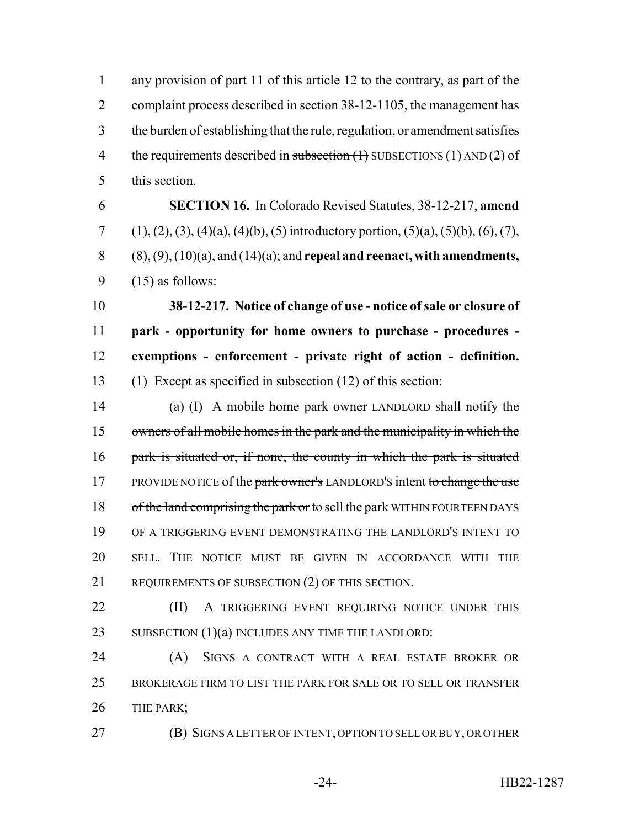1 any provision of part 11 of this article 12 to the contrary, as part of the 2 complaint process described in section 38-12-1105, the management has 3 the burden of establishing that the rule, regulation, or amendment satisfies 4 the requirements described in subsection  $(1)$  SUBSECTIONS  $(1)$  AND  $(2)$  of 5 this section.

 **SECTION 16.** In Colorado Revised Statutes, 38-12-217, **amend** 7 (1), (2), (3), (4)(a), (4)(b), (5) introductory portion, (5)(a), (5)(b), (6), (7), (8), (9), (10)(a), and (14)(a); and **repeal and reenact, with amendments,**  $(15)$  as follows:

 **38-12-217. Notice of change of use - notice of sale or closure of park - opportunity for home owners to purchase - procedures - exemptions - enforcement - private right of action - definition.** (1) Except as specified in subsection (12) of this section:

14 (a) (I) A mobile home park owner LANDLORD shall notify the 15 owners of all mobile homes in the park and the municipality in which the 16 park is situated or, if none, the county in which the park is situated 17 PROVIDE NOTICE of the park owner's LANDLORD's intent to change the use 18 of the land comprising the park or to sell the park WITHIN FOURTEEN DAYS 19 OF A TRIGGERING EVENT DEMONSTRATING THE LANDLORD'S INTENT TO 20 SELL. THE NOTICE MUST BE GIVEN IN ACCORDANCE WITH THE 21 REQUIREMENTS OF SUBSECTION (2) OF THIS SECTION.

22 **(II)** A TRIGGERING EVENT REQUIRING NOTICE UNDER THIS 23 SUBSECTION (1)(a) INCLUDES ANY TIME THE LANDLORD:

24 (A) SIGNS A CONTRACT WITH A REAL ESTATE BROKER OR 25 BROKERAGE FIRM TO LIST THE PARK FOR SALE OR TO SELL OR TRANSFER 26 THE PARK;

27 (B) SIGNS A LETTER OF INTENT, OPTION TO SELL OR BUY, OR OTHER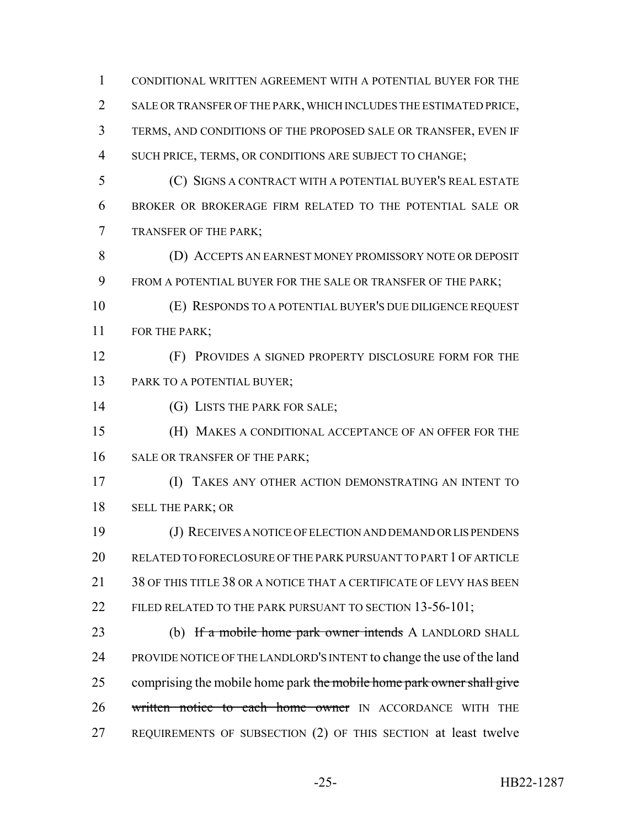CONDITIONAL WRITTEN AGREEMENT WITH A POTENTIAL BUYER FOR THE SALE OR TRANSFER OF THE PARK, WHICH INCLUDES THE ESTIMATED PRICE, TERMS, AND CONDITIONS OF THE PROPOSED SALE OR TRANSFER, EVEN IF SUCH PRICE, TERMS, OR CONDITIONS ARE SUBJECT TO CHANGE; (C) SIGNS A CONTRACT WITH A POTENTIAL BUYER'S REAL ESTATE BROKER OR BROKERAGE FIRM RELATED TO THE POTENTIAL SALE OR TRANSFER OF THE PARK; (D) ACCEPTS AN EARNEST MONEY PROMISSORY NOTE OR DEPOSIT FROM A POTENTIAL BUYER FOR THE SALE OR TRANSFER OF THE PARK; (E) RESPONDS TO A POTENTIAL BUYER'S DUE DILIGENCE REQUEST 11 FOR THE PARK; (F) PROVIDES A SIGNED PROPERTY DISCLOSURE FORM FOR THE PARK TO A POTENTIAL BUYER; 14 (G) LISTS THE PARK FOR SALE; (H) MAKES A CONDITIONAL ACCEPTANCE OF AN OFFER FOR THE 16 SALE OR TRANSFER OF THE PARK; (I) TAKES ANY OTHER ACTION DEMONSTRATING AN INTENT TO SELL THE PARK; OR (J) RECEIVES A NOTICE OF ELECTION AND DEMAND OR LIS PENDENS RELATED TO FORECLOSURE OF THE PARK PURSUANT TO PART 1 OF ARTICLE 21 38 OF THIS TITLE 38 OR A NOTICE THAT A CERTIFICATE OF LEVY HAS BEEN 22 FILED RELATED TO THE PARK PURSUANT TO SECTION 13-56-101; 23 (b) If a mobile home park owner intends A LANDLORD SHALL PROVIDE NOTICE OF THE LANDLORD'S INTENT to change the use of the land 25 comprising the mobile home park the mobile home park owner shall give 26 written notice to each home owner IN ACCORDANCE WITH THE REQUIREMENTS OF SUBSECTION (2) OF THIS SECTION at least twelve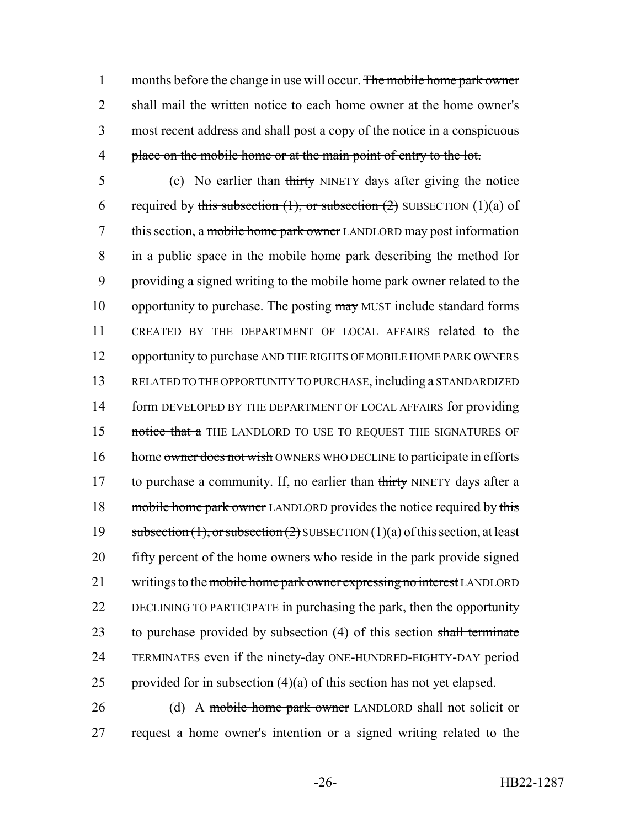1 months before the change in use will occur. The mobile home park owner 2 shall mail the written notice to each home owner at the home owner's 3 most recent address and shall post a copy of the notice in a conspicuous 4 place on the mobile home or at the main point of entry to the lot.

5 (c) No earlier than thirty NINETY days after giving the notice 6 required by this subsection  $(1)$ , or subsection  $(2)$  SUBSECTION  $(1)(a)$  of 7 this section, a mobile home park owner LANDLORD may post information 8 in a public space in the mobile home park describing the method for 9 providing a signed writing to the mobile home park owner related to the 10 opportunity to purchase. The posting may MUST include standard forms 11 CREATED BY THE DEPARTMENT OF LOCAL AFFAIRS related to the 12 opportunity to purchase AND THE RIGHTS OF MOBILE HOME PARK OWNERS 13 RELATED TO THE OPPORTUNITY TO PURCHASE, including a STANDARDIZED 14 form DEVELOPED BY THE DEPARTMENT OF LOCAL AFFAIRS for providing 15 notice that a THE LANDLORD TO USE TO REQUEST THE SIGNATURES OF 16 home owner does not wish OWNERS WHO DECLINE to participate in efforts 17 to purchase a community. If, no earlier than thirty NINETY days after a 18 mobile home park owner LANDLORD provides the notice required by this 19 subsection  $(1)$ , or subsection  $(2)$  SUBSECTION  $(1)(a)$  of this section, at least 20 fifty percent of the home owners who reside in the park provide signed 21 writings to the mobile home park owner expressing no interest LANDLORD 22 DECLINING TO PARTICIPATE in purchasing the park, then the opportunity 23 to purchase provided by subsection (4) of this section shall terminate 24 TERMINATES even if the ninety-day ONE-HUNDRED-EIGHTY-DAY period 25 provided for in subsection  $(4)(a)$  of this section has not yet elapsed.

26 (d) A mobile home park owner LANDLORD shall not solicit or 27 request a home owner's intention or a signed writing related to the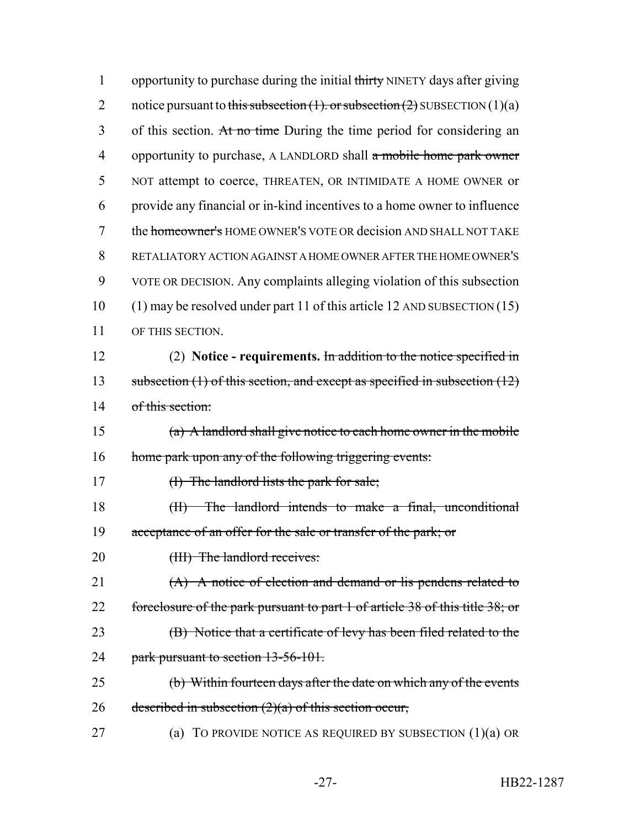| $\mathbf{1}$   | opportunity to purchase during the initial thirty NINETY days after giving         |
|----------------|------------------------------------------------------------------------------------|
| $\overline{2}$ | notice pursuant to this subsection $(1)$ . or subsection $(2)$ SUBSECTION $(1)(a)$ |
| 3              | of this section. At no time During the time period for considering an              |
| 4              | opportunity to purchase, A LANDLORD shall a mobile home park owner                 |
| 5              | NOT attempt to coerce, THREATEN, OR INTIMIDATE A HOME OWNER or                     |
| 6              | provide any financial or in-kind incentives to a home owner to influence           |
| 7              | the homeowner's HOME OWNER'S VOTE OR decision AND SHALL NOT TAKE                   |
| 8              | RETALIATORY ACTION AGAINST A HOME OWNER AFTER THE HOME OWNER'S                     |
| 9              | VOTE OR DECISION. Any complaints alleging violation of this subsection             |
| 10             | $(1)$ may be resolved under part 11 of this article 12 AND SUBSECTION $(15)$       |
| 11             | OF THIS SECTION.                                                                   |
| 12             | (2) Notice - requirements. In addition to the notice specified in                  |
| 13             | subsection $(1)$ of this section, and except as specified in subsection $(12)$     |
| 14             | of this section:                                                                   |
| 15             | (a) A landlord shall give notice to each home owner in the mobile                  |
| 16             | home park upon any of the following triggering events:                             |
| 17             | $(H)$ The landlord lists the park for sale;                                        |
| 18             | The landlord intends to make a final, unconditional<br>(H)                         |
| 19             | acceptance of an offer for the sale or transfer of the park; or                    |
| 20             | (III) The landlord receives:                                                       |
| 21             | $(A)$ A notice of election and demand or lis pendens related to                    |
| 22             | foreclosure of the park pursuant to part 1 of article 38 of this title 38; or      |
| 23             | (B) Notice that a certificate of levy has been filed related to the                |
| 24             | park pursuant to section 13-56-101.                                                |
| 25             | (b) Within fourteen days after the date on which any of the events                 |
| 26             | described in subsection $(2)(a)$ of this section occur,                            |
| 27             | TO PROVIDE NOTICE AS REQUIRED BY SUBSECTION $(1)(a)$ OR<br>(a)                     |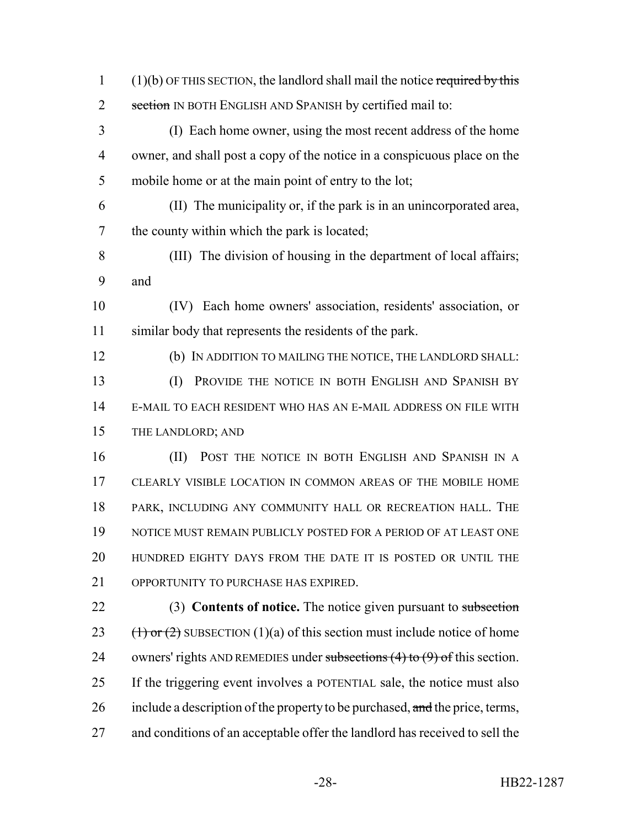(1)(b) OF THIS SECTION, the landlord shall mail the notice required by this 2 section IN BOTH ENGLISH AND SPANISH by certified mail to:

- (I) Each home owner, using the most recent address of the home owner, and shall post a copy of the notice in a conspicuous place on the mobile home or at the main point of entry to the lot;
- (II) The municipality or, if the park is in an unincorporated area, the county within which the park is located;
- (III) The division of housing in the department of local affairs; and
- (IV) Each home owners' association, residents' association, or similar body that represents the residents of the park.
- (b) IN ADDITION TO MAILING THE NOTICE, THE LANDLORD SHALL: (I) PROVIDE THE NOTICE IN BOTH ENGLISH AND SPANISH BY E-MAIL TO EACH RESIDENT WHO HAS AN E-MAIL ADDRESS ON FILE WITH THE LANDLORD; AND
- (II) POST THE NOTICE IN BOTH ENGLISH AND SPANISH IN A CLEARLY VISIBLE LOCATION IN COMMON AREAS OF THE MOBILE HOME PARK, INCLUDING ANY COMMUNITY HALL OR RECREATION HALL. THE NOTICE MUST REMAIN PUBLICLY POSTED FOR A PERIOD OF AT LEAST ONE HUNDRED EIGHTY DAYS FROM THE DATE IT IS POSTED OR UNTIL THE OPPORTUNITY TO PURCHASE HAS EXPIRED.
- (3) **Contents of notice.** The notice given pursuant to subsection 23 (1) or (2) SUBSECTION (1)(a) of this section must include notice of home 24 owners' rights AND REMEDIES under subsections  $(4)$  to  $(9)$  of this section. If the triggering event involves a POTENTIAL sale, the notice must also 26 include a description of the property to be purchased, and the price, terms, and conditions of an acceptable offer the landlord has received to sell the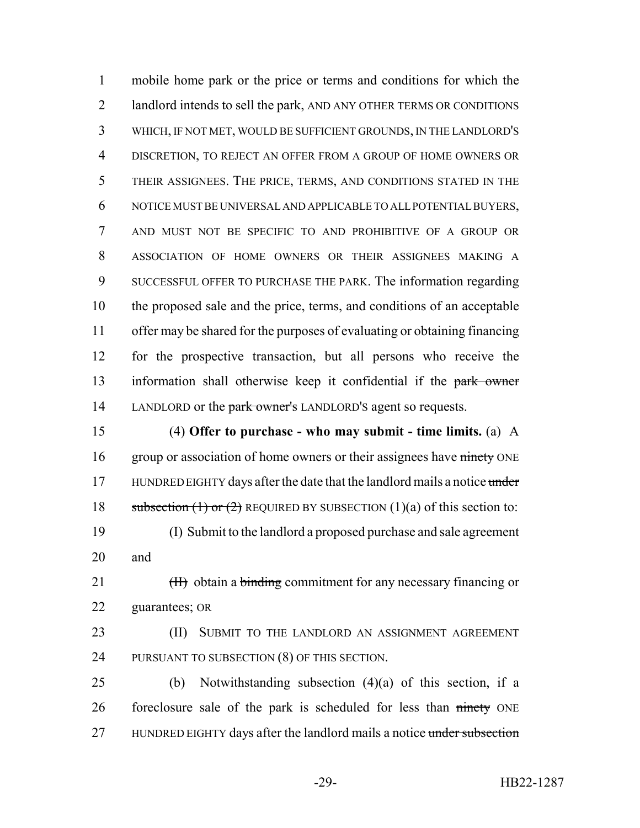mobile home park or the price or terms and conditions for which the landlord intends to sell the park, AND ANY OTHER TERMS OR CONDITIONS WHICH, IF NOT MET, WOULD BE SUFFICIENT GROUNDS, IN THE LANDLORD'S DISCRETION, TO REJECT AN OFFER FROM A GROUP OF HOME OWNERS OR THEIR ASSIGNEES. THE PRICE, TERMS, AND CONDITIONS STATED IN THE NOTICE MUST BE UNIVERSAL AND APPLICABLE TO ALL POTENTIAL BUYERS, AND MUST NOT BE SPECIFIC TO AND PROHIBITIVE OF A GROUP OR ASSOCIATION OF HOME OWNERS OR THEIR ASSIGNEES MAKING A SUCCESSFUL OFFER TO PURCHASE THE PARK. The information regarding the proposed sale and the price, terms, and conditions of an acceptable offer may be shared for the purposes of evaluating or obtaining financing for the prospective transaction, but all persons who receive the 13 information shall otherwise keep it confidential if the park owner 14 LANDLORD or the park owner's LANDLORD'S agent so requests.

 (4) **Offer to purchase - who may submit - time limits.** (a) A 16 group or association of home owners or their assignees have ninety ONE 17 HUNDRED EIGHTY days after the date that the landlord mails a notice under 18 subsection (1) or (2) REQUIRED BY SUBSECTION (1)(a) of this section to: (I) Submit to the landlord a proposed purchase and sale agreement and

21 (II) obtain a binding commitment for any necessary financing or guarantees; OR

23 (II) SUBMIT TO THE LANDLORD AN ASSIGNMENT AGREEMENT PURSUANT TO SUBSECTION (8) OF THIS SECTION.

 (b) Notwithstanding subsection (4)(a) of this section, if a 26 foreclosure sale of the park is scheduled for less than ninety ONE 27 HUNDRED EIGHTY days after the landlord mails a notice under subsection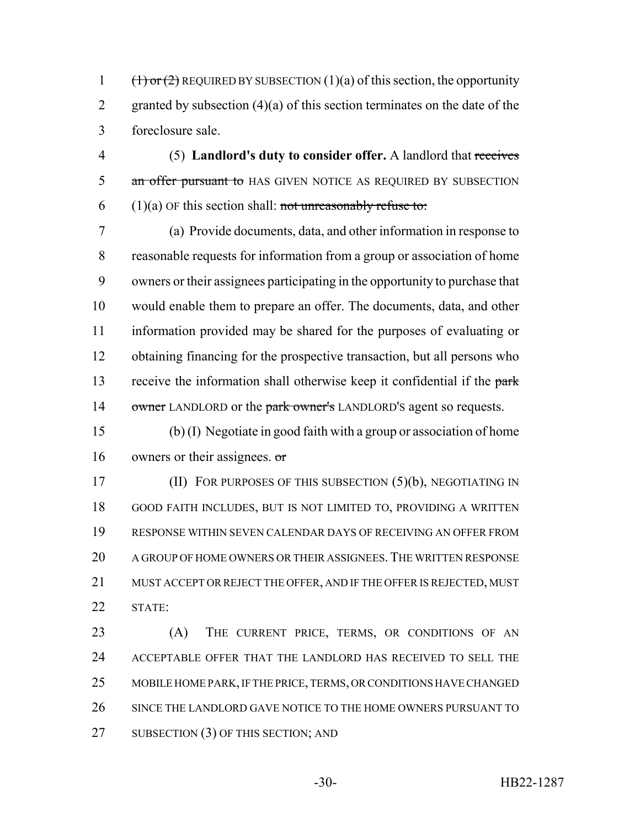1  $(\text{1})$  or (2) REQUIRED BY SUBSECTION (1)(a) of this section, the opportunity 2 granted by subsection  $(4)(a)$  of this section terminates on the date of the foreclosure sale.

 (5) **Landlord's duty to consider offer.** A landlord that receives 5 an offer pursuant to HAS GIVEN NOTICE AS REQUIRED BY SUBSECTION  $(1)(a)$  OF this section shall: not unreasonably refuse to:

 (a) Provide documents, data, and other information in response to reasonable requests for information from a group or association of home owners or their assignees participating in the opportunity to purchase that would enable them to prepare an offer. The documents, data, and other information provided may be shared for the purposes of evaluating or obtaining financing for the prospective transaction, but all persons who 13 receive the information shall otherwise keep it confidential if the park 14 owner LANDLORD or the park owner's LANDLORD'S agent so requests.

 (b) (I) Negotiate in good faith with a group or association of home owners or their assignees. or

**(II) FOR PURPOSES OF THIS SUBSECTION (5)(b), NEGOTIATING IN**  GOOD FAITH INCLUDES, BUT IS NOT LIMITED TO, PROVIDING A WRITTEN RESPONSE WITHIN SEVEN CALENDAR DAYS OF RECEIVING AN OFFER FROM A GROUP OF HOME OWNERS OR THEIR ASSIGNEES.THE WRITTEN RESPONSE MUST ACCEPT OR REJECT THE OFFER, AND IF THE OFFER IS REJECTED, MUST STATE:

 (A) THE CURRENT PRICE, TERMS, OR CONDITIONS OF AN ACCEPTABLE OFFER THAT THE LANDLORD HAS RECEIVED TO SELL THE MOBILE HOME PARK, IF THE PRICE, TERMS, OR CONDITIONS HAVE CHANGED 26 SINCE THE LANDLORD GAVE NOTICE TO THE HOME OWNERS PURSUANT TO 27 SUBSECTION (3) OF THIS SECTION; AND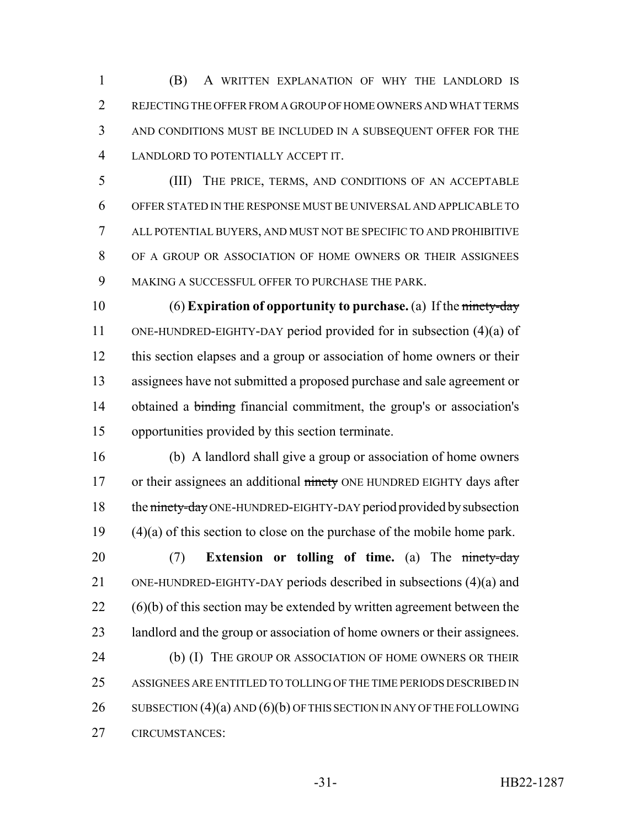(B) A WRITTEN EXPLANATION OF WHY THE LANDLORD IS REJECTING THE OFFER FROM A GROUP OF HOME OWNERS AND WHAT TERMS AND CONDITIONS MUST BE INCLUDED IN A SUBSEQUENT OFFER FOR THE LANDLORD TO POTENTIALLY ACCEPT IT.

 (III) THE PRICE, TERMS, AND CONDITIONS OF AN ACCEPTABLE OFFER STATED IN THE RESPONSE MUST BE UNIVERSAL AND APPLICABLE TO ALL POTENTIAL BUYERS, AND MUST NOT BE SPECIFIC TO AND PROHIBITIVE OF A GROUP OR ASSOCIATION OF HOME OWNERS OR THEIR ASSIGNEES MAKING A SUCCESSFUL OFFER TO PURCHASE THE PARK.

 (6) **Expiration of opportunity to purchase.** (a) If the ninety-day ONE-HUNDRED-EIGHTY-DAY period provided for in subsection (4)(a) of this section elapses and a group or association of home owners or their assignees have not submitted a proposed purchase and sale agreement or 14 obtained a binding financial commitment, the group's or association's opportunities provided by this section terminate.

 (b) A landlord shall give a group or association of home owners 17 or their assignees an additional ninety ONE HUNDRED EIGHTY days after 18 the ninety-day ONE-HUNDRED-EIGHTY-DAY period provided by subsection (4)(a) of this section to close on the purchase of the mobile home park.

 (7) **Extension or tolling of time.** (a) The ninety-day ONE-HUNDRED-EIGHTY-DAY periods described in subsections (4)(a) and (6)(b) of this section may be extended by written agreement between the 23 landlord and the group or association of home owners or their assignees. 24 (b) (I) THE GROUP OR ASSOCIATION OF HOME OWNERS OR THEIR ASSIGNEES ARE ENTITLED TO TOLLING OF THE TIME PERIODS DESCRIBED IN 26 SUBSECTION (4)(a) AND (6)(b) OF THIS SECTION IN ANY OF THE FOLLOWING CIRCUMSTANCES: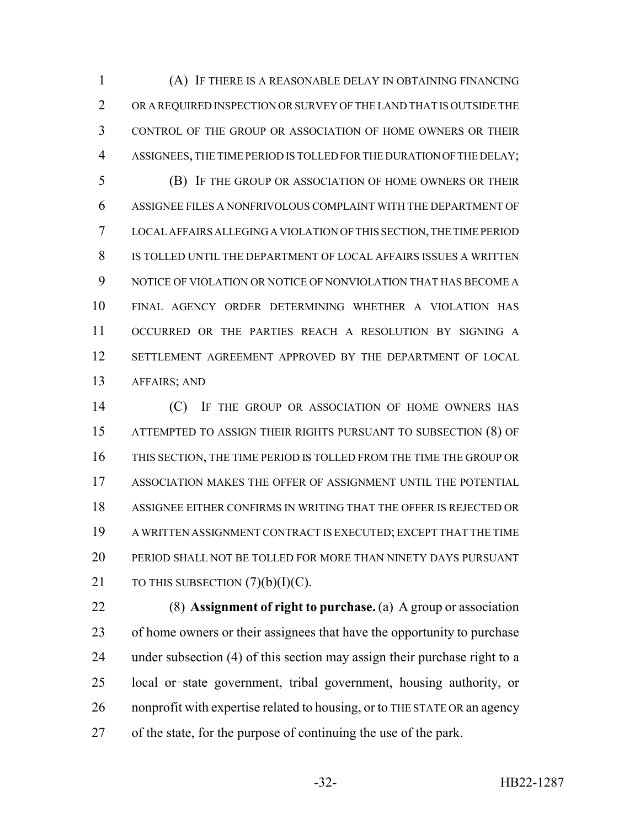(A) IF THERE IS A REASONABLE DELAY IN OBTAINING FINANCING OR A REQUIRED INSPECTION OR SURVEY OF THE LAND THAT IS OUTSIDE THE CONTROL OF THE GROUP OR ASSOCIATION OF HOME OWNERS OR THEIR ASSIGNEES, THE TIME PERIOD IS TOLLED FOR THE DURATION OF THE DELAY; (B) IF THE GROUP OR ASSOCIATION OF HOME OWNERS OR THEIR ASSIGNEE FILES A NONFRIVOLOUS COMPLAINT WITH THE DEPARTMENT OF LOCAL AFFAIRS ALLEGING A VIOLATION OF THIS SECTION, THE TIME PERIOD IS TOLLED UNTIL THE DEPARTMENT OF LOCAL AFFAIRS ISSUES A WRITTEN NOTICE OF VIOLATION OR NOTICE OF NONVIOLATION THAT HAS BECOME A FINAL AGENCY ORDER DETERMINING WHETHER A VIOLATION HAS OCCURRED OR THE PARTIES REACH A RESOLUTION BY SIGNING A SETTLEMENT AGREEMENT APPROVED BY THE DEPARTMENT OF LOCAL AFFAIRS; AND

**(C)** IF THE GROUP OR ASSOCIATION OF HOME OWNERS HAS ATTEMPTED TO ASSIGN THEIR RIGHTS PURSUANT TO SUBSECTION (8) OF THIS SECTION, THE TIME PERIOD IS TOLLED FROM THE TIME THE GROUP OR ASSOCIATION MAKES THE OFFER OF ASSIGNMENT UNTIL THE POTENTIAL ASSIGNEE EITHER CONFIRMS IN WRITING THAT THE OFFER IS REJECTED OR A WRITTEN ASSIGNMENT CONTRACT IS EXECUTED; EXCEPT THAT THE TIME PERIOD SHALL NOT BE TOLLED FOR MORE THAN NINETY DAYS PURSUANT 21 TO THIS SUBSECTION  $(7)(b)(I)(C)$ .

 (8) **Assignment of right to purchase.** (a) A group or association 23 of home owners or their assignees that have the opportunity to purchase under subsection (4) of this section may assign their purchase right to a 25 local  $\sigma$  state government, tribal government, housing authority,  $\sigma$  nonprofit with expertise related to housing, or to THE STATE OR an agency of the state, for the purpose of continuing the use of the park.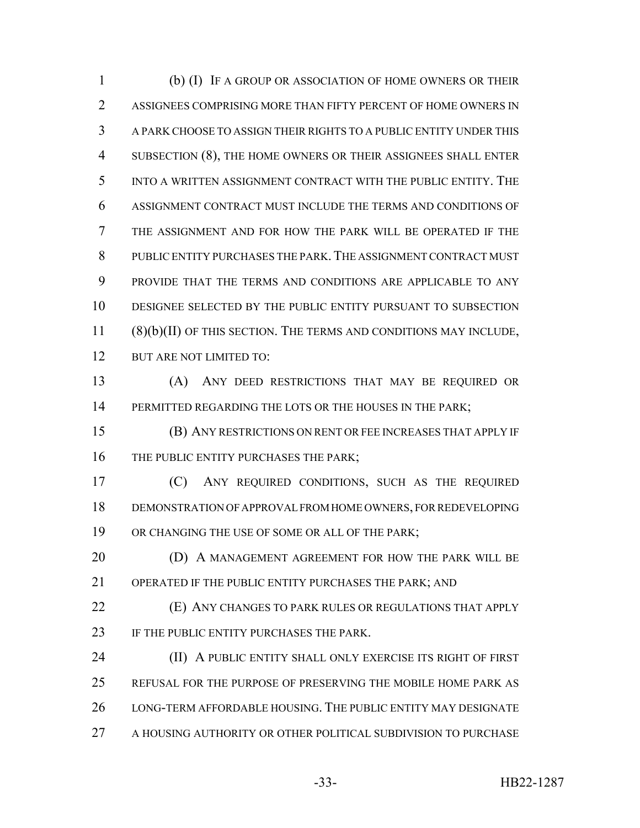(b) (I) IF A GROUP OR ASSOCIATION OF HOME OWNERS OR THEIR ASSIGNEES COMPRISING MORE THAN FIFTY PERCENT OF HOME OWNERS IN A PARK CHOOSE TO ASSIGN THEIR RIGHTS TO A PUBLIC ENTITY UNDER THIS SUBSECTION (8), THE HOME OWNERS OR THEIR ASSIGNEES SHALL ENTER INTO A WRITTEN ASSIGNMENT CONTRACT WITH THE PUBLIC ENTITY. THE ASSIGNMENT CONTRACT MUST INCLUDE THE TERMS AND CONDITIONS OF THE ASSIGNMENT AND FOR HOW THE PARK WILL BE OPERATED IF THE PUBLIC ENTITY PURCHASES THE PARK.THE ASSIGNMENT CONTRACT MUST PROVIDE THAT THE TERMS AND CONDITIONS ARE APPLICABLE TO ANY DESIGNEE SELECTED BY THE PUBLIC ENTITY PURSUANT TO SUBSECTION (8)(b)(II) OF THIS SECTION. THE TERMS AND CONDITIONS MAY INCLUDE, BUT ARE NOT LIMITED TO:

 (A) ANY DEED RESTRICTIONS THAT MAY BE REQUIRED OR 14 PERMITTED REGARDING THE LOTS OR THE HOUSES IN THE PARK;

 (B) ANY RESTRICTIONS ON RENT OR FEE INCREASES THAT APPLY IF 16 THE PUBLIC ENTITY PURCHASES THE PARK;

 (C) ANY REQUIRED CONDITIONS, SUCH AS THE REQUIRED DEMONSTRATION OF APPROVAL FROM HOME OWNERS, FOR REDEVELOPING OR CHANGING THE USE OF SOME OR ALL OF THE PARK;

**(D) A MANAGEMENT AGREEMENT FOR HOW THE PARK WILL BE** OPERATED IF THE PUBLIC ENTITY PURCHASES THE PARK; AND

 (E) ANY CHANGES TO PARK RULES OR REGULATIONS THAT APPLY 23 IF THE PUBLIC ENTITY PURCHASES THE PARK.

**(II) A PUBLIC ENTITY SHALL ONLY EXERCISE ITS RIGHT OF FIRST**  REFUSAL FOR THE PURPOSE OF PRESERVING THE MOBILE HOME PARK AS LONG-TERM AFFORDABLE HOUSING. THE PUBLIC ENTITY MAY DESIGNATE A HOUSING AUTHORITY OR OTHER POLITICAL SUBDIVISION TO PURCHASE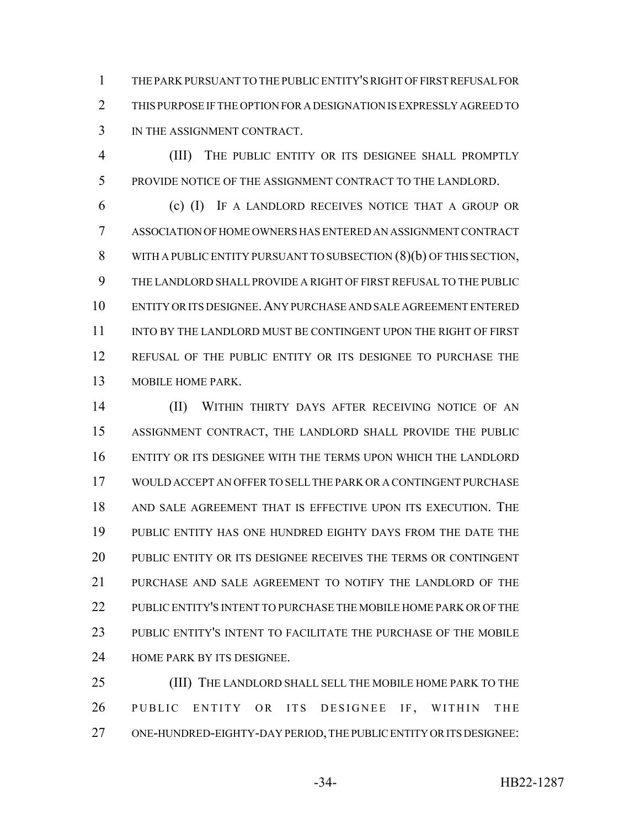THE PARK PURSUANT TO THE PUBLIC ENTITY'S RIGHT OF FIRST REFUSAL FOR THIS PURPOSE IF THE OPTION FOR A DESIGNATION IS EXPRESSLY AGREED TO IN THE ASSIGNMENT CONTRACT.

 (III) THE PUBLIC ENTITY OR ITS DESIGNEE SHALL PROMPTLY PROVIDE NOTICE OF THE ASSIGNMENT CONTRACT TO THE LANDLORD.

 (c) (I) IF A LANDLORD RECEIVES NOTICE THAT A GROUP OR ASSOCIATION OF HOME OWNERS HAS ENTERED AN ASSIGNMENT CONTRACT WITH A PUBLIC ENTITY PURSUANT TO SUBSECTION (8)(b) OF THIS SECTION, THE LANDLORD SHALL PROVIDE A RIGHT OF FIRST REFUSAL TO THE PUBLIC ENTITY OR ITS DESIGNEE.ANY PURCHASE AND SALE AGREEMENT ENTERED 11 INTO BY THE LANDLORD MUST BE CONTINGENT UPON THE RIGHT OF FIRST REFUSAL OF THE PUBLIC ENTITY OR ITS DESIGNEE TO PURCHASE THE MOBILE HOME PARK.

 (II) WITHIN THIRTY DAYS AFTER RECEIVING NOTICE OF AN ASSIGNMENT CONTRACT, THE LANDLORD SHALL PROVIDE THE PUBLIC ENTITY OR ITS DESIGNEE WITH THE TERMS UPON WHICH THE LANDLORD WOULD ACCEPT AN OFFER TO SELL THE PARK OR A CONTINGENT PURCHASE AND SALE AGREEMENT THAT IS EFFECTIVE UPON ITS EXECUTION. THE PUBLIC ENTITY HAS ONE HUNDRED EIGHTY DAYS FROM THE DATE THE PUBLIC ENTITY OR ITS DESIGNEE RECEIVES THE TERMS OR CONTINGENT PURCHASE AND SALE AGREEMENT TO NOTIFY THE LANDLORD OF THE PUBLIC ENTITY'S INTENT TO PURCHASE THE MOBILE HOME PARK OR OF THE PUBLIC ENTITY'S INTENT TO FACILITATE THE PURCHASE OF THE MOBILE HOME PARK BY ITS DESIGNEE.

 (III) THE LANDLORD SHALL SELL THE MOBILE HOME PARK TO THE 26 PUBLIC ENTITY OR ITS DESIGNEE IF, WITHIN THE ONE-HUNDRED-EIGHTY-DAY PERIOD, THE PUBLIC ENTITY OR ITS DESIGNEE: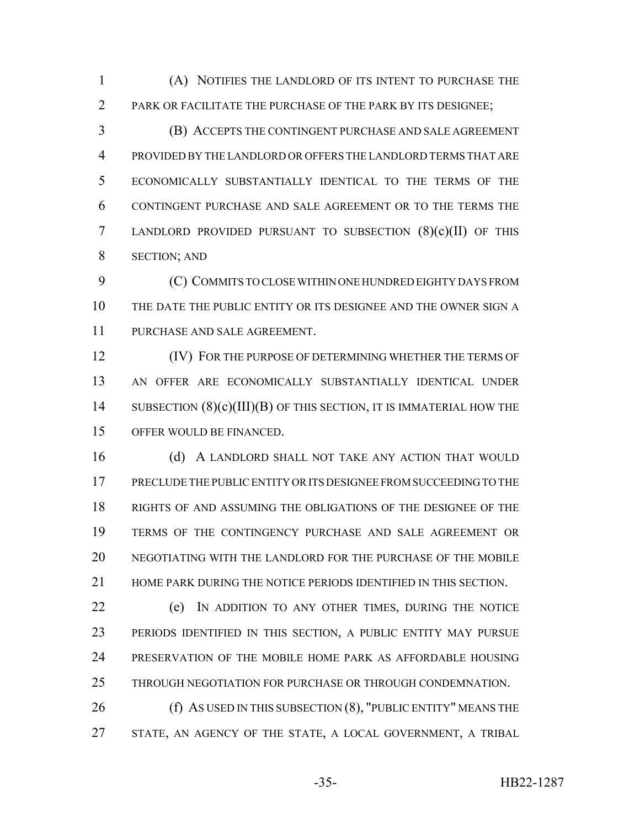(A) NOTIFIES THE LANDLORD OF ITS INTENT TO PURCHASE THE PARK OR FACILITATE THE PURCHASE OF THE PARK BY ITS DESIGNEE;

 (B) ACCEPTS THE CONTINGENT PURCHASE AND SALE AGREEMENT PROVIDED BY THE LANDLORD OR OFFERS THE LANDLORD TERMS THAT ARE ECONOMICALLY SUBSTANTIALLY IDENTICAL TO THE TERMS OF THE CONTINGENT PURCHASE AND SALE AGREEMENT OR TO THE TERMS THE LANDLORD PROVIDED PURSUANT TO SUBSECTION (8)(c)(II) OF THIS SECTION; AND

 (C) COMMITS TO CLOSE WITHIN ONE HUNDRED EIGHTY DAYS FROM THE DATE THE PUBLIC ENTITY OR ITS DESIGNEE AND THE OWNER SIGN A PURCHASE AND SALE AGREEMENT.

**IV)** FOR THE PURPOSE OF DETERMINING WHETHER THE TERMS OF AN OFFER ARE ECONOMICALLY SUBSTANTIALLY IDENTICAL UNDER 14 SUBSECTION  $(8)(c)(III)(B)$  of this section, it is immaterial how the OFFER WOULD BE FINANCED.

16 (d) A LANDLORD SHALL NOT TAKE ANY ACTION THAT WOULD PRECLUDE THE PUBLIC ENTITY OR ITS DESIGNEE FROM SUCCEEDING TO THE RIGHTS OF AND ASSUMING THE OBLIGATIONS OF THE DESIGNEE OF THE TERMS OF THE CONTINGENCY PURCHASE AND SALE AGREEMENT OR NEGOTIATING WITH THE LANDLORD FOR THE PURCHASE OF THE MOBILE HOME PARK DURING THE NOTICE PERIODS IDENTIFIED IN THIS SECTION.

 (e) IN ADDITION TO ANY OTHER TIMES, DURING THE NOTICE PERIODS IDENTIFIED IN THIS SECTION, A PUBLIC ENTITY MAY PURSUE PRESERVATION OF THE MOBILE HOME PARK AS AFFORDABLE HOUSING THROUGH NEGOTIATION FOR PURCHASE OR THROUGH CONDEMNATION.

**(f) AS USED IN THIS SUBSECTION (8), "PUBLIC ENTITY" MEANS THE** STATE, AN AGENCY OF THE STATE, A LOCAL GOVERNMENT, A TRIBAL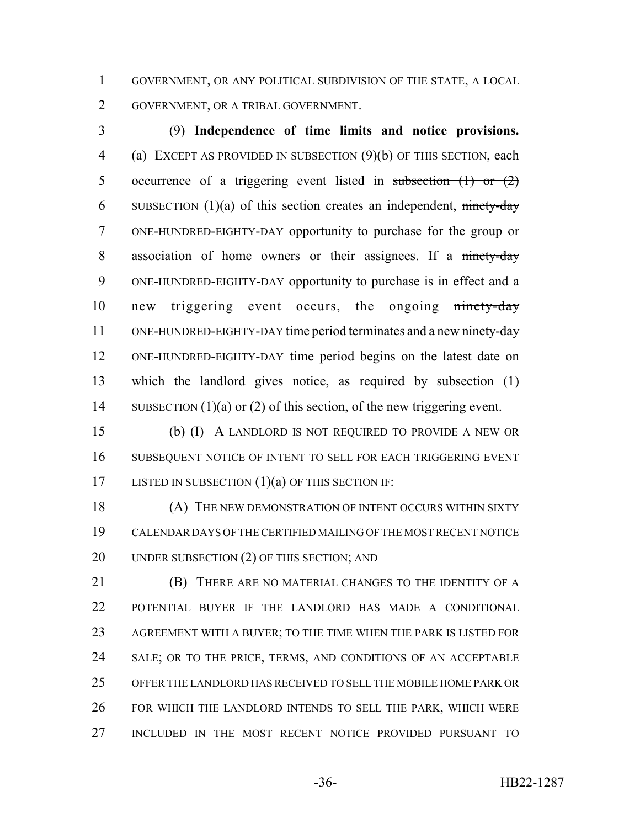GOVERNMENT, OR ANY POLITICAL SUBDIVISION OF THE STATE, A LOCAL GOVERNMENT, OR A TRIBAL GOVERNMENT.

 (9) **Independence of time limits and notice provisions.** (a) EXCEPT AS PROVIDED IN SUBSECTION (9)(b) OF THIS SECTION, each 5 occurrence of a triggering event listed in subsection  $(1)$  or  $(2)$ 6 SUBSECTION  $(1)(a)$  of this section creates an independent, ninety-day ONE-HUNDRED-EIGHTY-DAY opportunity to purchase for the group or 8 association of home owners or their assignees. If a ninety-day ONE-HUNDRED-EIGHTY-DAY opportunity to purchase is in effect and a 10 new triggering event occurs, the ongoing ninety-day 11 ONE-HUNDRED-EIGHTY-DAY time period terminates and a new ninety-day ONE-HUNDRED-EIGHTY-DAY time period begins on the latest date on which the landlord gives notice, as required by subsection (1) 14 SUBSECTION (1)(a) or (2) of this section, of the new triggering event.

 (b) (I) A LANDLORD IS NOT REQUIRED TO PROVIDE A NEW OR SUBSEQUENT NOTICE OF INTENT TO SELL FOR EACH TRIGGERING EVENT 17 LISTED IN SUBSECTION (1)(a) OF THIS SECTION IF:

18 (A) THE NEW DEMONSTRATION OF INTENT OCCURS WITHIN SIXTY CALENDAR DAYS OF THE CERTIFIED MAILING OF THE MOST RECENT NOTICE 20 UNDER SUBSECTION (2) OF THIS SECTION; AND

 (B) THERE ARE NO MATERIAL CHANGES TO THE IDENTITY OF A POTENTIAL BUYER IF THE LANDLORD HAS MADE A CONDITIONAL AGREEMENT WITH A BUYER; TO THE TIME WHEN THE PARK IS LISTED FOR SALE; OR TO THE PRICE, TERMS, AND CONDITIONS OF AN ACCEPTABLE OFFER THE LANDLORD HAS RECEIVED TO SELL THE MOBILE HOME PARK OR FOR WHICH THE LANDLORD INTENDS TO SELL THE PARK, WHICH WERE INCLUDED IN THE MOST RECENT NOTICE PROVIDED PURSUANT TO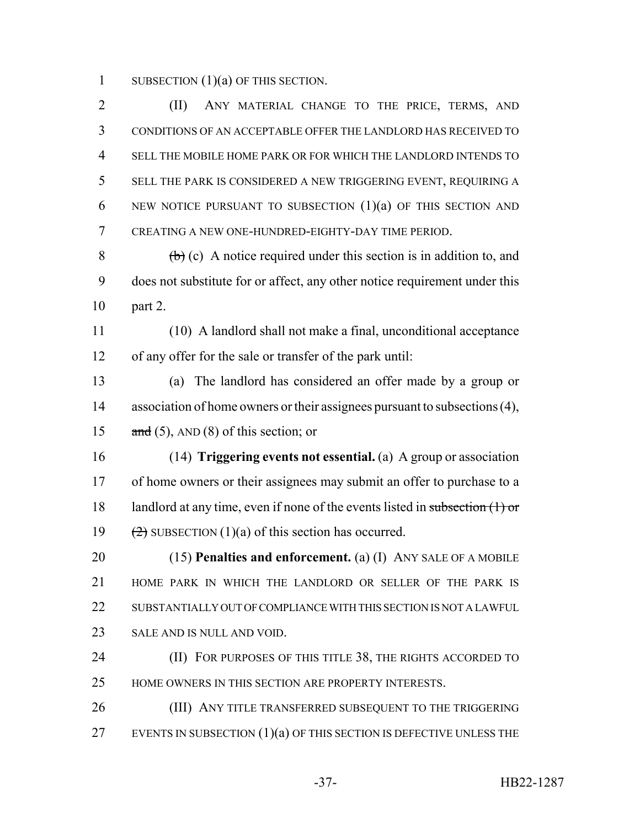1 SUBSECTION  $(1)(a)$  OF THIS SECTION.

2 (II) ANY MATERIAL CHANGE TO THE PRICE, TERMS, AND CONDITIONS OF AN ACCEPTABLE OFFER THE LANDLORD HAS RECEIVED TO SELL THE MOBILE HOME PARK OR FOR WHICH THE LANDLORD INTENDS TO SELL THE PARK IS CONSIDERED A NEW TRIGGERING EVENT, REQUIRING A 6 NEW NOTICE PURSUANT TO SUBSECTION  $(1)(a)$  of this section and CREATING A NEW ONE-HUNDRED-EIGHTY-DAY TIME PERIOD.

 $8 \left( \frac{b}{c} \right)$  (c) A notice required under this section is in addition to, and 9 does not substitute for or affect, any other notice requirement under this 10 part 2.

11 (10) A landlord shall not make a final, unconditional acceptance 12 of any offer for the sale or transfer of the park until:

13 (a) The landlord has considered an offer made by a group or 14 association of home owners or their assignees pursuant to subsections (4), 15  $\text{and } (5)$ , AND (8) of this section; or

16 (14) **Triggering events not essential.** (a) A group or association 17 of home owners or their assignees may submit an offer to purchase to a 18 landlord at any time, even if none of the events listed in subsection  $(1)$  or 19  $(2)$  SUBSECTION (1)(a) of this section has occurred.

 (15) **Penalties and enforcement.** (a) (I) ANY SALE OF A MOBILE HOME PARK IN WHICH THE LANDLORD OR SELLER OF THE PARK IS 22 SUBSTANTIALLY OUT OF COMPLIANCE WITH THIS SECTION IS NOT A LAWFUL. SALE AND IS NULL AND VOID.

24 **(II) FOR PURPOSES OF THIS TITLE 38, THE RIGHTS ACCORDED TO** 25 HOME OWNERS IN THIS SECTION ARE PROPERTY INTERESTS.

26 (III) ANY TITLE TRANSFERRED SUBSEQUENT TO THE TRIGGERING 27 EVENTS IN SUBSECTION  $(1)(a)$  OF THIS SECTION IS DEFECTIVE UNLESS THE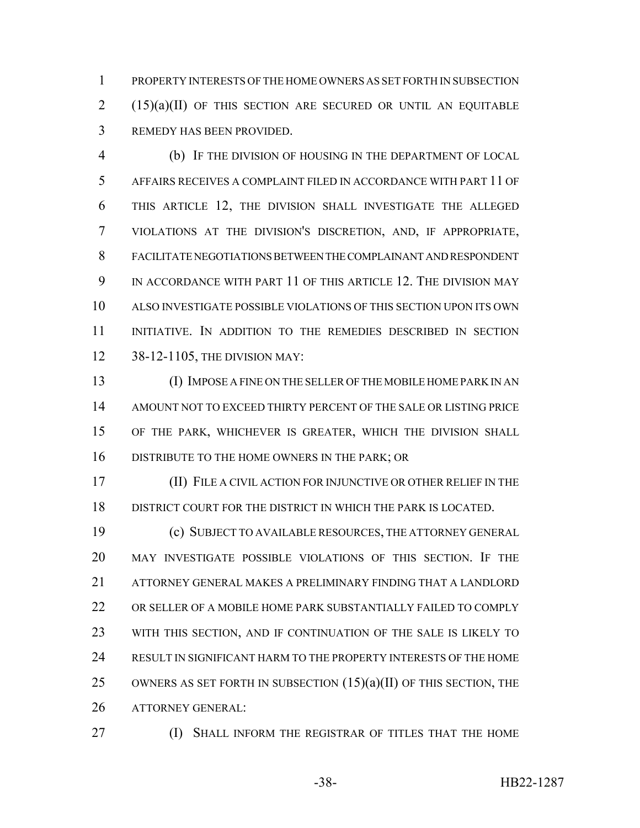PROPERTY INTERESTS OF THE HOME OWNERS AS SET FORTH IN SUBSECTION (15)(a)(II) OF THIS SECTION ARE SECURED OR UNTIL AN EQUITABLE REMEDY HAS BEEN PROVIDED.

 (b) IF THE DIVISION OF HOUSING IN THE DEPARTMENT OF LOCAL AFFAIRS RECEIVES A COMPLAINT FILED IN ACCORDANCE WITH PART 11 OF THIS ARTICLE 12, THE DIVISION SHALL INVESTIGATE THE ALLEGED VIOLATIONS AT THE DIVISION'S DISCRETION, AND, IF APPROPRIATE, FACILITATE NEGOTIATIONS BETWEEN THE COMPLAINANT AND RESPONDENT IN ACCORDANCE WITH PART 11 OF THIS ARTICLE 12. THE DIVISION MAY ALSO INVESTIGATE POSSIBLE VIOLATIONS OF THIS SECTION UPON ITS OWN INITIATIVE. IN ADDITION TO THE REMEDIES DESCRIBED IN SECTION 38-12-1105, THE DIVISION MAY:

 (I) IMPOSE A FINE ON THE SELLER OF THE MOBILE HOME PARK IN AN AMOUNT NOT TO EXCEED THIRTY PERCENT OF THE SALE OR LISTING PRICE OF THE PARK, WHICHEVER IS GREATER, WHICH THE DIVISION SHALL DISTRIBUTE TO THE HOME OWNERS IN THE PARK; OR

 (II) FILE A CIVIL ACTION FOR INJUNCTIVE OR OTHER RELIEF IN THE DISTRICT COURT FOR THE DISTRICT IN WHICH THE PARK IS LOCATED.

 (c) SUBJECT TO AVAILABLE RESOURCES, THE ATTORNEY GENERAL MAY INVESTIGATE POSSIBLE VIOLATIONS OF THIS SECTION. IF THE ATTORNEY GENERAL MAKES A PRELIMINARY FINDING THAT A LANDLORD OR SELLER OF A MOBILE HOME PARK SUBSTANTIALLY FAILED TO COMPLY WITH THIS SECTION, AND IF CONTINUATION OF THE SALE IS LIKELY TO RESULT IN SIGNIFICANT HARM TO THE PROPERTY INTERESTS OF THE HOME 25 OWNERS AS SET FORTH IN SUBSECTION  $(15)(a)(II)$  OF THIS SECTION, THE ATTORNEY GENERAL:

**(I) SHALL INFORM THE REGISTRAR OF TITLES THAT THE HOME**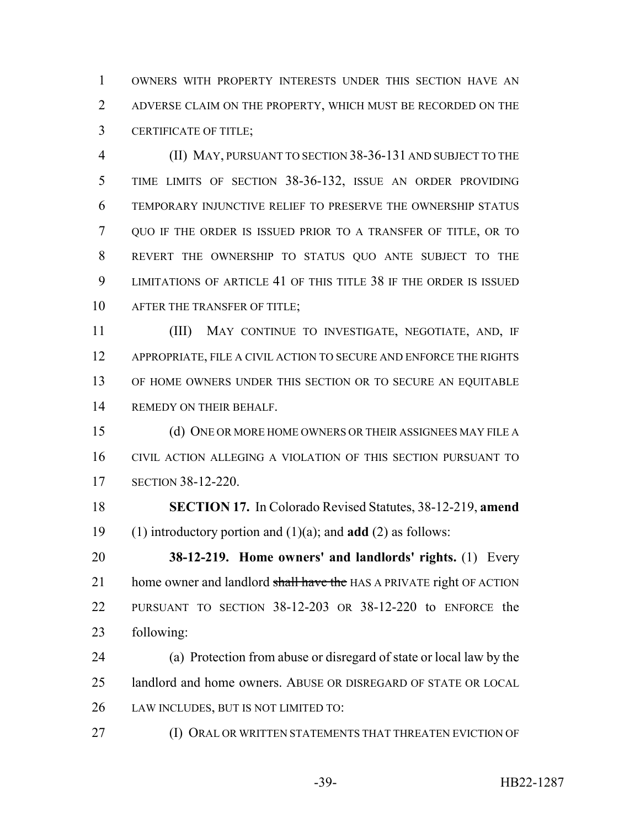OWNERS WITH PROPERTY INTERESTS UNDER THIS SECTION HAVE AN ADVERSE CLAIM ON THE PROPERTY, WHICH MUST BE RECORDED ON THE CERTIFICATE OF TITLE;

 (II) MAY, PURSUANT TO SECTION 38-36-131 AND SUBJECT TO THE TIME LIMITS OF SECTION 38-36-132, ISSUE AN ORDER PROVIDING TEMPORARY INJUNCTIVE RELIEF TO PRESERVE THE OWNERSHIP STATUS QUO IF THE ORDER IS ISSUED PRIOR TO A TRANSFER OF TITLE, OR TO REVERT THE OWNERSHIP TO STATUS QUO ANTE SUBJECT TO THE LIMITATIONS OF ARTICLE 41 OF THIS TITLE 38 IF THE ORDER IS ISSUED 10 AFTER THE TRANSFER OF TITLE:

 (III) MAY CONTINUE TO INVESTIGATE, NEGOTIATE, AND, IF 12 APPROPRIATE, FILE A CIVIL ACTION TO SECURE AND ENFORCE THE RIGHTS 13 OF HOME OWNERS UNDER THIS SECTION OR TO SECURE AN EQUITABLE REMEDY ON THEIR BEHALF.

 (d) ONE OR MORE HOME OWNERS OR THEIR ASSIGNEES MAY FILE A CIVIL ACTION ALLEGING A VIOLATION OF THIS SECTION PURSUANT TO SECTION 38-12-220.

 **SECTION 17.** In Colorado Revised Statutes, 38-12-219, **amend** (1) introductory portion and (1)(a); and **add** (2) as follows:

 **38-12-219. Home owners' and landlords' rights.** (1) Every 21 home owner and landlord shall have the HAS A PRIVATE right OF ACTION PURSUANT TO SECTION 38-12-203 OR 38-12-220 to ENFORCE the following:

 (a) Protection from abuse or disregard of state or local law by the landlord and home owners. ABUSE OR DISREGARD OF STATE OR LOCAL LAW INCLUDES, BUT IS NOT LIMITED TO:

(I) ORAL OR WRITTEN STATEMENTS THAT THREATEN EVICTION OF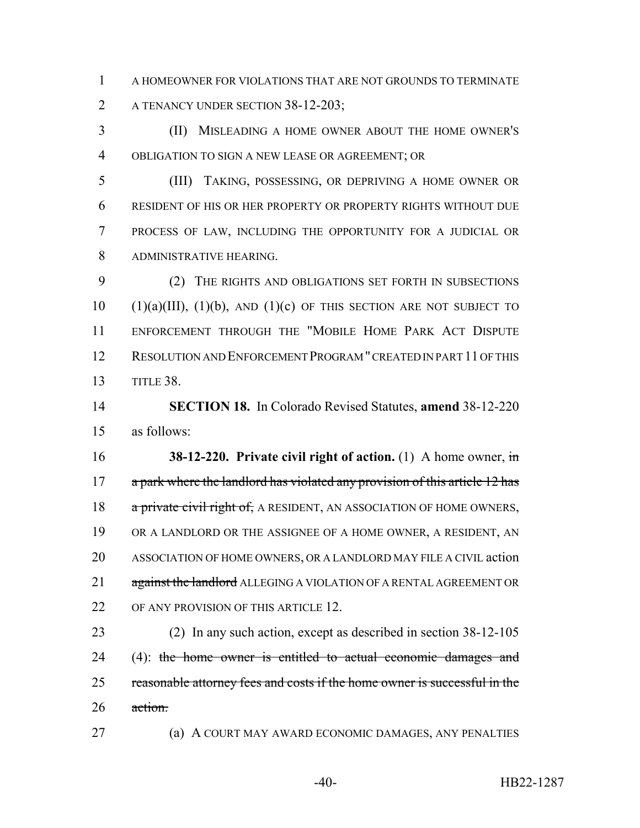A HOMEOWNER FOR VIOLATIONS THAT ARE NOT GROUNDS TO TERMINATE 2 A TENANCY UNDER SECTION 38-12-203;

 (II) MISLEADING A HOME OWNER ABOUT THE HOME OWNER'S OBLIGATION TO SIGN A NEW LEASE OR AGREEMENT; OR

 (III) TAKING, POSSESSING, OR DEPRIVING A HOME OWNER OR RESIDENT OF HIS OR HER PROPERTY OR PROPERTY RIGHTS WITHOUT DUE PROCESS OF LAW, INCLUDING THE OPPORTUNITY FOR A JUDICIAL OR ADMINISTRATIVE HEARING.

 (2) THE RIGHTS AND OBLIGATIONS SET FORTH IN SUBSECTIONS (1)(a)(III), (1)(b), AND (1)(c) OF THIS SECTION ARE NOT SUBJECT TO ENFORCEMENT THROUGH THE "MOBILE HOME PARK ACT DISPUTE RESOLUTION AND ENFORCEMENT PROGRAM " CREATED IN PART 11 OF THIS TITLE 38.

 **SECTION 18.** In Colorado Revised Statutes, **amend** 38-12-220 as follows:

 **38-12-220. Private civil right of action.** (1) A home owner, in 17 a park where the landlord has violated any provision of this article 12 has 18 a private civil right of, A RESIDENT, AN ASSOCIATION OF HOME OWNERS, OR A LANDLORD OR THE ASSIGNEE OF A HOME OWNER, A RESIDENT, AN ASSOCIATION OF HOME OWNERS, OR A LANDLORD MAY FILE A CIVIL action 21 against the landlord ALLEGING A VIOLATION OF A RENTAL AGREEMENT OR 22 OF ANY PROVISION OF THIS ARTICLE 12.

 (2) In any such action, except as described in section 38-12-105 24 (4): the home owner is entitled to actual economic damages and 25 reasonable attorney fees and costs if the home owner is successful in the 26 action.

(a) A COURT MAY AWARD ECONOMIC DAMAGES, ANY PENALTIES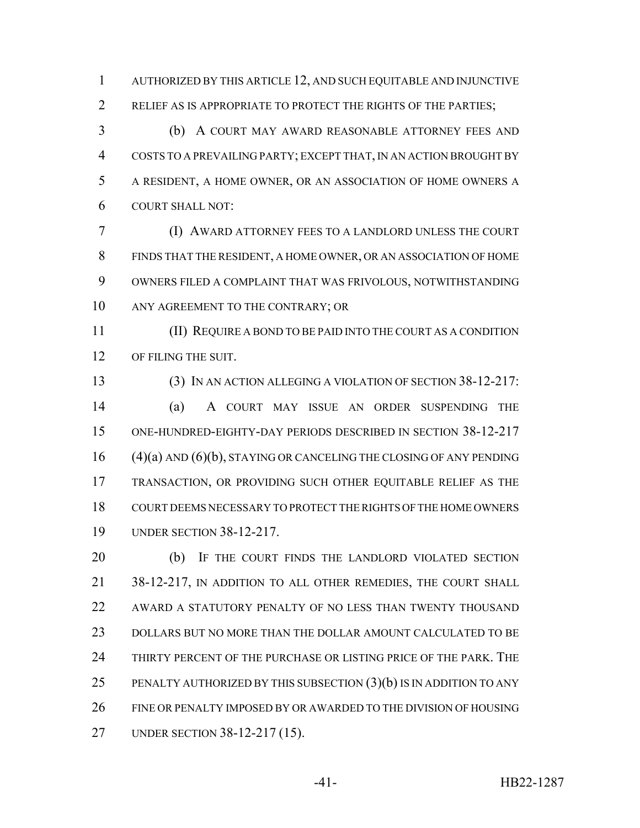AUTHORIZED BY THIS ARTICLE 12, AND SUCH EQUITABLE AND INJUNCTIVE RELIEF AS IS APPROPRIATE TO PROTECT THE RIGHTS OF THE PARTIES;

 (b) A COURT MAY AWARD REASONABLE ATTORNEY FEES AND COSTS TO A PREVAILING PARTY; EXCEPT THAT, IN AN ACTION BROUGHT BY A RESIDENT, A HOME OWNER, OR AN ASSOCIATION OF HOME OWNERS A COURT SHALL NOT:

 (I) AWARD ATTORNEY FEES TO A LANDLORD UNLESS THE COURT FINDS THAT THE RESIDENT, A HOME OWNER, OR AN ASSOCIATION OF HOME OWNERS FILED A COMPLAINT THAT WAS FRIVOLOUS, NOTWITHSTANDING 10 ANY AGREEMENT TO THE CONTRARY; OR

 (II) REQUIRE A BOND TO BE PAID INTO THE COURT AS A CONDITION 12 OF FILING THE SUIT.

 (3) IN AN ACTION ALLEGING A VIOLATION OF SECTION 38-12-217: (a) A COURT MAY ISSUE AN ORDER SUSPENDING THE ONE-HUNDRED-EIGHTY-DAY PERIODS DESCRIBED IN SECTION 38-12-217 (4)(a) AND (6)(b), STAYING OR CANCELING THE CLOSING OF ANY PENDING TRANSACTION, OR PROVIDING SUCH OTHER EQUITABLE RELIEF AS THE COURT DEEMS NECESSARY TO PROTECT THE RIGHTS OF THE HOME OWNERS UNDER SECTION 38-12-217.

 (b) IF THE COURT FINDS THE LANDLORD VIOLATED SECTION 38-12-217, IN ADDITION TO ALL OTHER REMEDIES, THE COURT SHALL AWARD A STATUTORY PENALTY OF NO LESS THAN TWENTY THOUSAND DOLLARS BUT NO MORE THAN THE DOLLAR AMOUNT CALCULATED TO BE THIRTY PERCENT OF THE PURCHASE OR LISTING PRICE OF THE PARK. THE 25 PENALTY AUTHORIZED BY THIS SUBSECTION  $(3)(b)$  is in addition to any FINE OR PENALTY IMPOSED BY OR AWARDED TO THE DIVISION OF HOUSING UNDER SECTION 38-12-217 (15).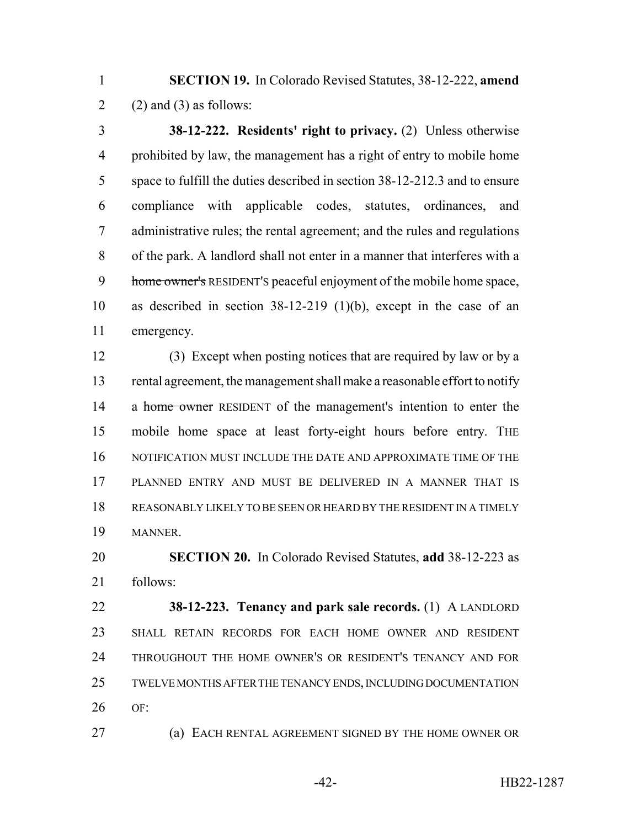**SECTION 19.** In Colorado Revised Statutes, 38-12-222, **amend** 2 (2) and (3) as follows:

 **38-12-222. Residents' right to privacy.** (2) Unless otherwise prohibited by law, the management has a right of entry to mobile home space to fulfill the duties described in section 38-12-212.3 and to ensure compliance with applicable codes, statutes, ordinances, and administrative rules; the rental agreement; and the rules and regulations of the park. A landlord shall not enter in a manner that interferes with a 9 home owner's RESIDENT's peaceful enjoyment of the mobile home space, as described in section 38-12-219 (1)(b), except in the case of an emergency.

 (3) Except when posting notices that are required by law or by a rental agreement, the management shall make a reasonable effort to notify 14 a home owner RESIDENT of the management's intention to enter the mobile home space at least forty-eight hours before entry. THE NOTIFICATION MUST INCLUDE THE DATE AND APPROXIMATE TIME OF THE PLANNED ENTRY AND MUST BE DELIVERED IN A MANNER THAT IS REASONABLY LIKELY TO BE SEEN OR HEARD BY THE RESIDENT IN A TIMELY MANNER.

 **SECTION 20.** In Colorado Revised Statutes, **add** 38-12-223 as follows:

 **38-12-223. Tenancy and park sale records.** (1) A LANDLORD SHALL RETAIN RECORDS FOR EACH HOME OWNER AND RESIDENT THROUGHOUT THE HOME OWNER'S OR RESIDENT'S TENANCY AND FOR TWELVE MONTHS AFTER THE TENANCY ENDS, INCLUDING DOCUMENTATION OF:

(a) EACH RENTAL AGREEMENT SIGNED BY THE HOME OWNER OR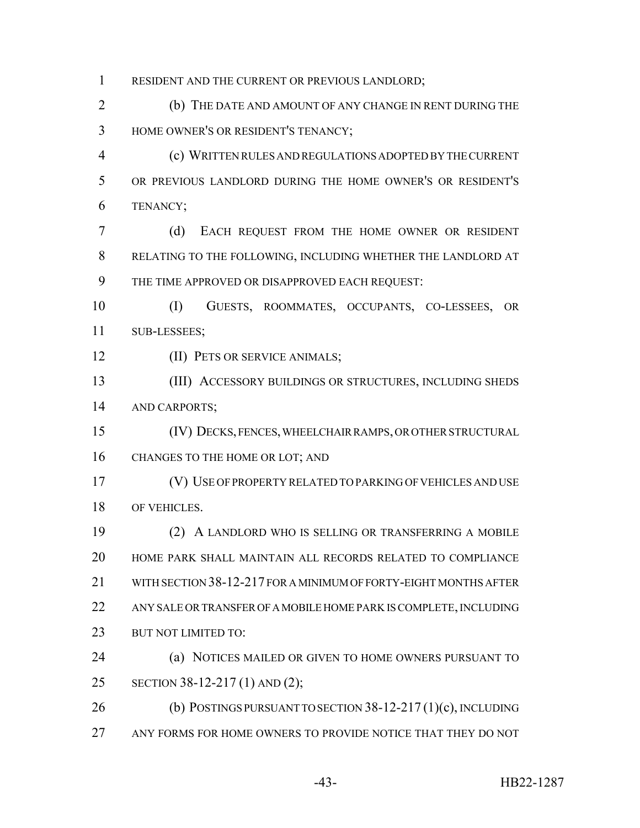1 RESIDENT AND THE CURRENT OR PREVIOUS LANDLORD;

 (b) THE DATE AND AMOUNT OF ANY CHANGE IN RENT DURING THE HOME OWNER'S OR RESIDENT'S TENANCY;

 (c) WRITTEN RULES AND REGULATIONS ADOPTED BY THE CURRENT OR PREVIOUS LANDLORD DURING THE HOME OWNER'S OR RESIDENT'S TENANCY;

 (d) EACH REQUEST FROM THE HOME OWNER OR RESIDENT RELATING TO THE FOLLOWING, INCLUDING WHETHER THE LANDLORD AT THE TIME APPROVED OR DISAPPROVED EACH REQUEST:

 (I) GUESTS, ROOMMATES, OCCUPANTS, CO-LESSEES, OR SUB-LESSEES;

**(II) PETS OR SERVICE ANIMALS;** 

 (III) ACCESSORY BUILDINGS OR STRUCTURES, INCLUDING SHEDS AND CARPORTS;

(IV) DECKS, FENCES, WHEELCHAIR RAMPS, OR OTHER STRUCTURAL

16 CHANGES TO THE HOME OR LOT; AND

 (V) USE OF PROPERTY RELATED TO PARKING OF VEHICLES AND USE OF VEHICLES.

 (2) A LANDLORD WHO IS SELLING OR TRANSFERRING A MOBILE HOME PARK SHALL MAINTAIN ALL RECORDS RELATED TO COMPLIANCE WITH SECTION 38-12-217 FOR A MINIMUM OF FORTY-EIGHT MONTHS AFTER ANY SALE OR TRANSFER OF A MOBILE HOME PARK IS COMPLETE, INCLUDING 23 BUT NOT LIMITED TO:

 (a) NOTICES MAILED OR GIVEN TO HOME OWNERS PURSUANT TO SECTION 38-12-217 (1) AND (2);

 (b) POSTINGS PURSUANT TO SECTION 38-12-217 (1)(c), INCLUDING ANY FORMS FOR HOME OWNERS TO PROVIDE NOTICE THAT THEY DO NOT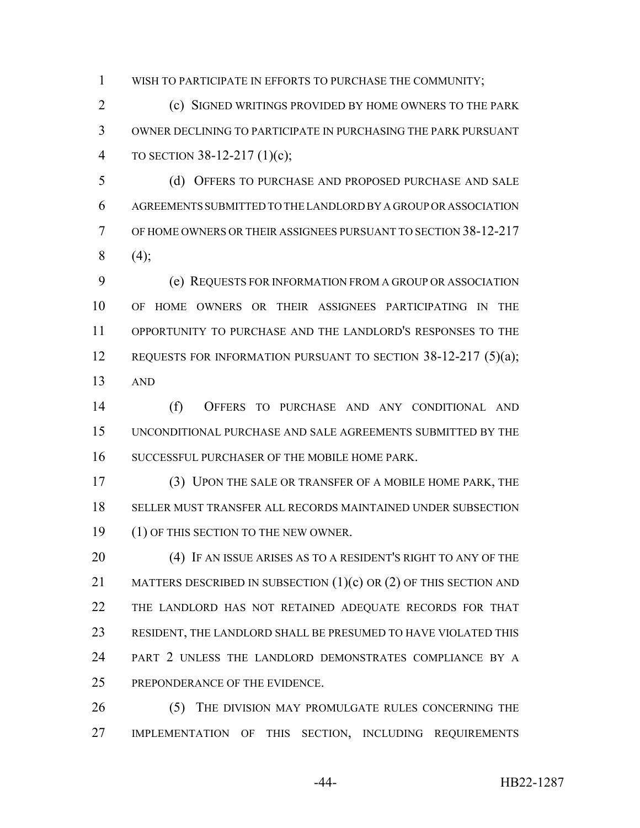WISH TO PARTICIPATE IN EFFORTS TO PURCHASE THE COMMUNITY;

 (c) SIGNED WRITINGS PROVIDED BY HOME OWNERS TO THE PARK OWNER DECLINING TO PARTICIPATE IN PURCHASING THE PARK PURSUANT TO SECTION 38-12-217 (1)(c);

 (d) OFFERS TO PURCHASE AND PROPOSED PURCHASE AND SALE AGREEMENTS SUBMITTED TO THE LANDLORD BY A GROUP OR ASSOCIATION OF HOME OWNERS OR THEIR ASSIGNEES PURSUANT TO SECTION 38-12-217 (4);

 (e) REQUESTS FOR INFORMATION FROM A GROUP OR ASSOCIATION OF HOME OWNERS OR THEIR ASSIGNEES PARTICIPATING IN THE OPPORTUNITY TO PURCHASE AND THE LANDLORD'S RESPONSES TO THE 12 REQUESTS FOR INFORMATION PURSUANT TO SECTION 38-12-217 (5)(a); AND

 (f) OFFERS TO PURCHASE AND ANY CONDITIONAL AND UNCONDITIONAL PURCHASE AND SALE AGREEMENTS SUBMITTED BY THE SUCCESSFUL PURCHASER OF THE MOBILE HOME PARK.

 (3) UPON THE SALE OR TRANSFER OF A MOBILE HOME PARK, THE SELLER MUST TRANSFER ALL RECORDS MAINTAINED UNDER SUBSECTION 19 (1) OF THIS SECTION TO THE NEW OWNER.

20 (4) IF AN ISSUE ARISES AS TO A RESIDENT'S RIGHT TO ANY OF THE 21 MATTERS DESCRIBED IN SUBSECTION  $(1)(c)$  OR  $(2)$  OF THIS SECTION AND THE LANDLORD HAS NOT RETAINED ADEQUATE RECORDS FOR THAT RESIDENT, THE LANDLORD SHALL BE PRESUMED TO HAVE VIOLATED THIS PART 2 UNLESS THE LANDLORD DEMONSTRATES COMPLIANCE BY A PREPONDERANCE OF THE EVIDENCE.

26 (5) THE DIVISION MAY PROMULGATE RULES CONCERNING THE IMPLEMENTATION OF THIS SECTION, INCLUDING REQUIREMENTS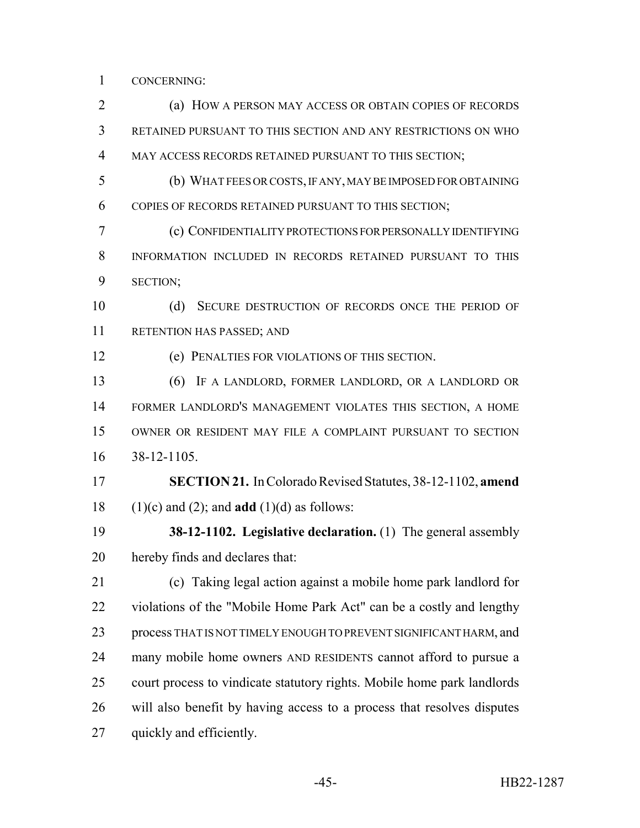CONCERNING:

 (a) HOW A PERSON MAY ACCESS OR OBTAIN COPIES OF RECORDS RETAINED PURSUANT TO THIS SECTION AND ANY RESTRICTIONS ON WHO MAY ACCESS RECORDS RETAINED PURSUANT TO THIS SECTION; (b) WHAT FEES OR COSTS, IF ANY, MAY BE IMPOSED FOR OBTAINING COPIES OF RECORDS RETAINED PURSUANT TO THIS SECTION; (c) CONFIDENTIALITY PROTECTIONS FOR PERSONALLY IDENTIFYING INFORMATION INCLUDED IN RECORDS RETAINED PURSUANT TO THIS SECTION; 10 (d) SECURE DESTRUCTION OF RECORDS ONCE THE PERIOD OF RETENTION HAS PASSED; AND (e) PENALTIES FOR VIOLATIONS OF THIS SECTION. (6) IF A LANDLORD, FORMER LANDLORD, OR A LANDLORD OR FORMER LANDLORD'S MANAGEMENT VIOLATES THIS SECTION, A HOME OWNER OR RESIDENT MAY FILE A COMPLAINT PURSUANT TO SECTION 38-12-1105. **SECTION 21.** In Colorado Revised Statutes, 38-12-1102, **amend** (1)(c) and (2); and **add** (1)(d) as follows: **38-12-1102. Legislative declaration.** (1) The general assembly hereby finds and declares that: (c) Taking legal action against a mobile home park landlord for violations of the "Mobile Home Park Act" can be a costly and lengthy process THAT IS NOT TIMELY ENOUGH TO PREVENT SIGNIFICANT HARM, and many mobile home owners AND RESIDENTS cannot afford to pursue a court process to vindicate statutory rights. Mobile home park landlords will also benefit by having access to a process that resolves disputes quickly and efficiently.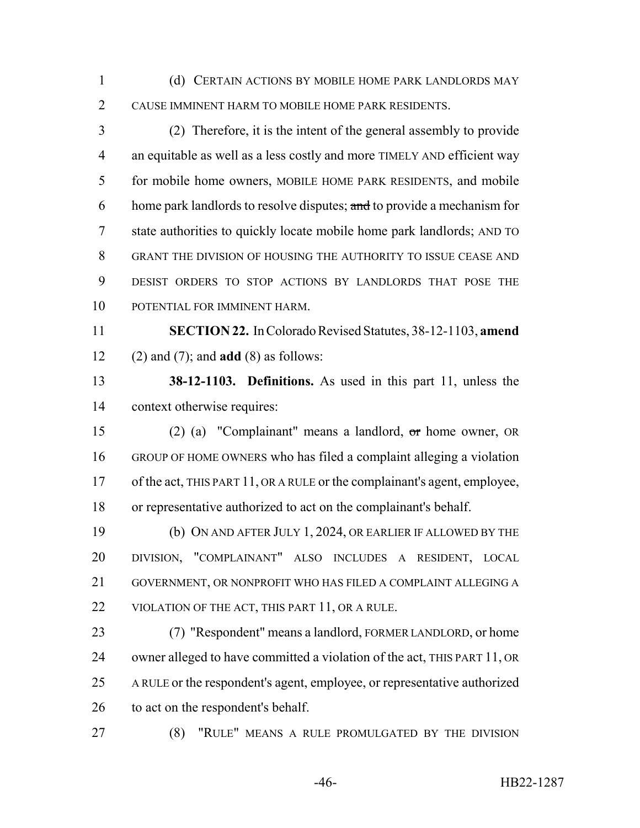(d) CERTAIN ACTIONS BY MOBILE HOME PARK LANDLORDS MAY CAUSE IMMINENT HARM TO MOBILE HOME PARK RESIDENTS.

 (2) Therefore, it is the intent of the general assembly to provide 4 an equitable as well as a less costly and more TIMELY AND efficient way for mobile home owners, MOBILE HOME PARK RESIDENTS, and mobile 6 home park landlords to resolve disputes; and to provide a mechanism for state authorities to quickly locate mobile home park landlords; AND TO GRANT THE DIVISION OF HOUSING THE AUTHORITY TO ISSUE CEASE AND DESIST ORDERS TO STOP ACTIONS BY LANDLORDS THAT POSE THE POTENTIAL FOR IMMINENT HARM.

 **SECTION 22.** In Colorado Revised Statutes, 38-12-1103, **amend** (2) and (7); and **add** (8) as follows:

 **38-12-1103. Definitions.** As used in this part 11, unless the context otherwise requires:

 (2) (a) "Complainant" means a landlord, or home owner, OR GROUP OF HOME OWNERS who has filed a complaint alleging a violation of the act, THIS PART 11, OR A RULE or the complainant's agent, employee, or representative authorized to act on the complainant's behalf.

 (b) ON AND AFTER JULY 1, 2024, OR EARLIER IF ALLOWED BY THE DIVISION, "COMPLAINANT" ALSO INCLUDES A RESIDENT, LOCAL GOVERNMENT, OR NONPROFIT WHO HAS FILED A COMPLAINT ALLEGING A 22 VIOLATION OF THE ACT, THIS PART 11, OR A RULE.

 (7) "Respondent" means a landlord, FORMER LANDLORD, or home owner alleged to have committed a violation of the act, THIS PART 11, OR A RULE or the respondent's agent, employee, or representative authorized 26 to act on the respondent's behalf.

(8) "RULE" MEANS A RULE PROMULGATED BY THE DIVISION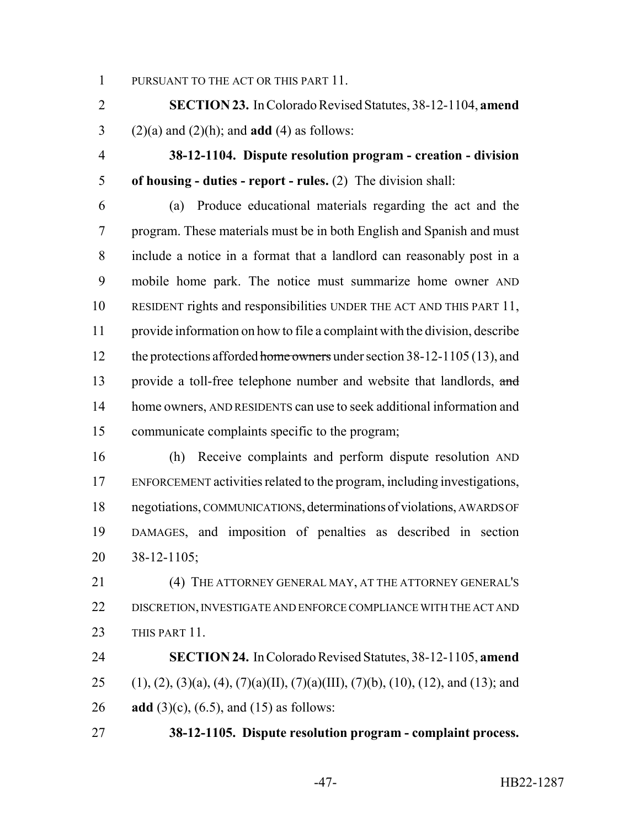1 PURSUANT TO THE ACT OR THIS PART 11.

 **SECTION 23.** In Colorado Revised Statutes, 38-12-1104, **amend** (2)(a) and (2)(h); and **add** (4) as follows:

 **38-12-1104. Dispute resolution program - creation - division of housing - duties - report - rules.** (2) The division shall:

 (a) Produce educational materials regarding the act and the program. These materials must be in both English and Spanish and must include a notice in a format that a landlord can reasonably post in a mobile home park. The notice must summarize home owner AND RESIDENT rights and responsibilities UNDER THE ACT AND THIS PART 11, provide information on how to file a complaint with the division, describe 12 the protections afforded home owners under section 38-12-1105 (13), and 13 provide a toll-free telephone number and website that landlords, and 14 home owners, AND RESIDENTS can use to seek additional information and communicate complaints specific to the program;

 (h) Receive complaints and perform dispute resolution AND ENFORCEMENT activities related to the program, including investigations, negotiations, COMMUNICATIONS, determinations of violations, AWARDS OF DAMAGES, and imposition of penalties as described in section 38-12-1105;

 (4) THE ATTORNEY GENERAL MAY, AT THE ATTORNEY GENERAL'S DISCRETION, INVESTIGATE AND ENFORCE COMPLIANCE WITH THE ACT AND 23 THIS PART 11.

 **SECTION 24.** In Colorado Revised Statutes, 38-12-1105, **amend** 25 (1), (2), (3)(a), (4), (7)(a)(II), (7)(a)(III), (7)(b), (10), (12), and (13); and **add** (3)(c), (6.5), and (15) as follows:

**38-12-1105. Dispute resolution program - complaint process.**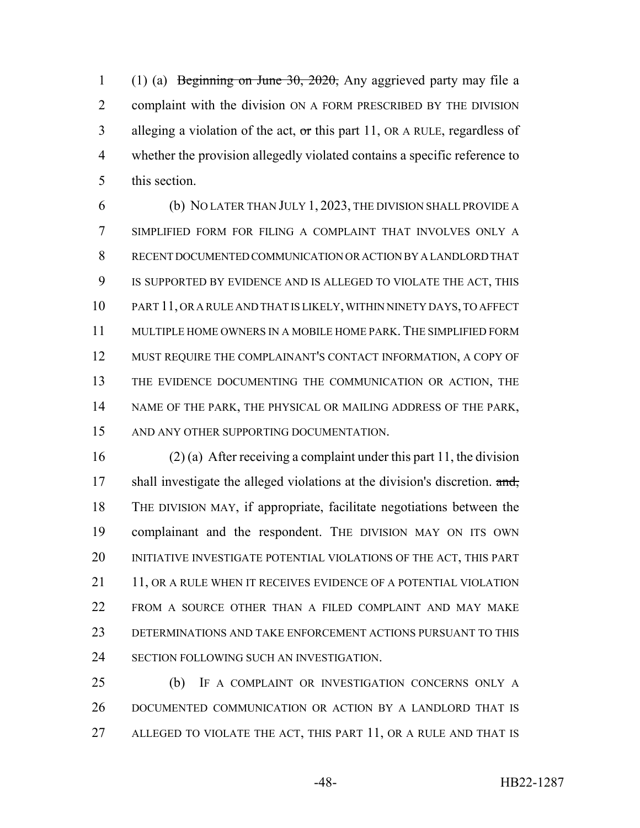(1) (a) Beginning on June 30, 2020, Any aggrieved party may file a complaint with the division ON A FORM PRESCRIBED BY THE DIVISION 3 alleging a violation of the act,  $\sigma$ r this part 11, OR A RULE, regardless of whether the provision allegedly violated contains a specific reference to this section.

 (b) NO LATER THAN JULY 1, 2023, THE DIVISION SHALL PROVIDE A SIMPLIFIED FORM FOR FILING A COMPLAINT THAT INVOLVES ONLY A RECENT DOCUMENTED COMMUNICATION OR ACTION BY A LANDLORD THAT IS SUPPORTED BY EVIDENCE AND IS ALLEGED TO VIOLATE THE ACT, THIS PART 11, OR A RULE AND THAT IS LIKELY, WITHIN NINETY DAYS, TO AFFECT MULTIPLE HOME OWNERS IN A MOBILE HOME PARK. THE SIMPLIFIED FORM MUST REQUIRE THE COMPLAINANT'S CONTACT INFORMATION, A COPY OF THE EVIDENCE DOCUMENTING THE COMMUNICATION OR ACTION, THE NAME OF THE PARK, THE PHYSICAL OR MAILING ADDRESS OF THE PARK, AND ANY OTHER SUPPORTING DOCUMENTATION.

 (2) (a) After receiving a complaint under this part 11, the division 17 shall investigate the alleged violations at the division's discretion. and, THE DIVISION MAY, if appropriate, facilitate negotiations between the complainant and the respondent. THE DIVISION MAY ON ITS OWN INITIATIVE INVESTIGATE POTENTIAL VIOLATIONS OF THE ACT, THIS PART 21 11, OR A RULE WHEN IT RECEIVES EVIDENCE OF A POTENTIAL VIOLATION 22 FROM A SOURCE OTHER THAN A FILED COMPLAINT AND MAY MAKE DETERMINATIONS AND TAKE ENFORCEMENT ACTIONS PURSUANT TO THIS SECTION FOLLOWING SUCH AN INVESTIGATION.

 (b) IF A COMPLAINT OR INVESTIGATION CONCERNS ONLY A DOCUMENTED COMMUNICATION OR ACTION BY A LANDLORD THAT IS ALLEGED TO VIOLATE THE ACT, THIS PART 11, OR A RULE AND THAT IS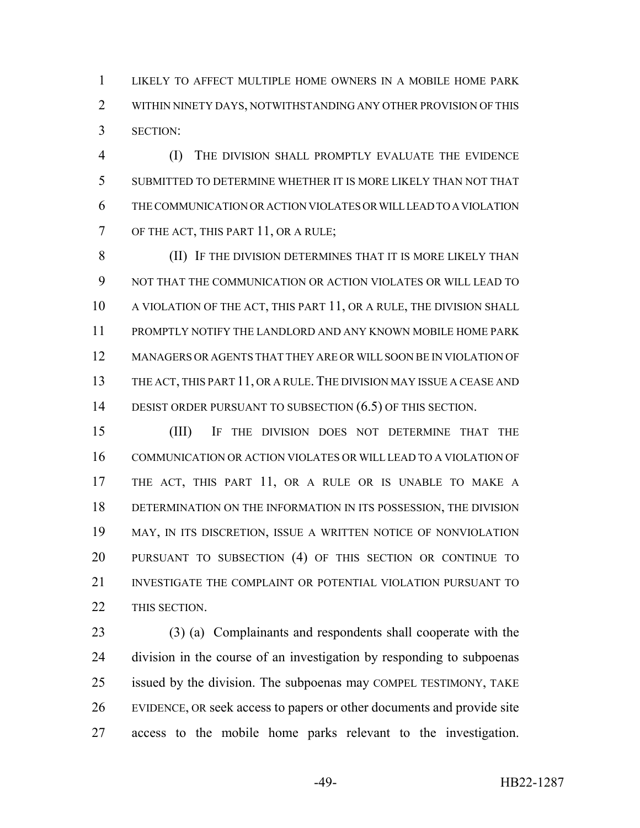LIKELY TO AFFECT MULTIPLE HOME OWNERS IN A MOBILE HOME PARK WITHIN NINETY DAYS, NOTWITHSTANDING ANY OTHER PROVISION OF THIS SECTION:

 (I) THE DIVISION SHALL PROMPTLY EVALUATE THE EVIDENCE SUBMITTED TO DETERMINE WHETHER IT IS MORE LIKELY THAN NOT THAT THE COMMUNICATION OR ACTION VIOLATES OR WILL LEAD TO A VIOLATION 7 OF THE ACT, THIS PART 11, OR A RULE;

 (II) IF THE DIVISION DETERMINES THAT IT IS MORE LIKELY THAN NOT THAT THE COMMUNICATION OR ACTION VIOLATES OR WILL LEAD TO 10 A VIOLATION OF THE ACT, THIS PART 11, OR A RULE, THE DIVISION SHALL PROMPTLY NOTIFY THE LANDLORD AND ANY KNOWN MOBILE HOME PARK MANAGERS OR AGENTS THAT THEY ARE OR WILL SOON BE IN VIOLATION OF 13 THE ACT, THIS PART 11, OR A RULE. THE DIVISION MAY ISSUE A CEASE AND 14 DESIST ORDER PURSUANT TO SUBSECTION (6.5) OF THIS SECTION.

 (III) IF THE DIVISION DOES NOT DETERMINE THAT THE COMMUNICATION OR ACTION VIOLATES OR WILL LEAD TO A VIOLATION OF THE ACT, THIS PART 11, OR A RULE OR IS UNABLE TO MAKE A DETERMINATION ON THE INFORMATION IN ITS POSSESSION, THE DIVISION MAY, IN ITS DISCRETION, ISSUE A WRITTEN NOTICE OF NONVIOLATION PURSUANT TO SUBSECTION (4) OF THIS SECTION OR CONTINUE TO INVESTIGATE THE COMPLAINT OR POTENTIAL VIOLATION PURSUANT TO 22 THIS SECTION.

 (3) (a) Complainants and respondents shall cooperate with the division in the course of an investigation by responding to subpoenas issued by the division. The subpoenas may COMPEL TESTIMONY, TAKE EVIDENCE, OR seek access to papers or other documents and provide site access to the mobile home parks relevant to the investigation.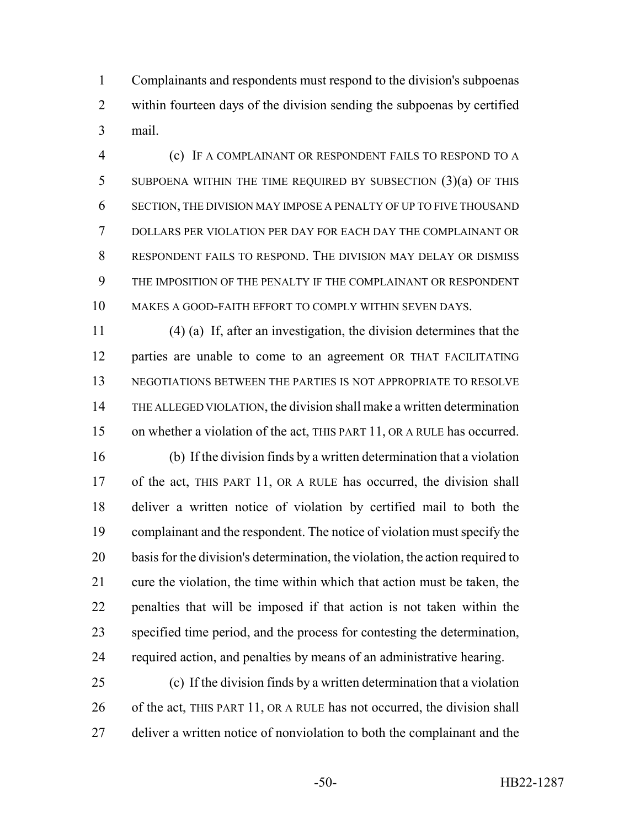Complainants and respondents must respond to the division's subpoenas within fourteen days of the division sending the subpoenas by certified mail.

 (c) IF A COMPLAINANT OR RESPONDENT FAILS TO RESPOND TO A SUBPOENA WITHIN THE TIME REQUIRED BY SUBSECTION (3)(a) OF THIS SECTION, THE DIVISION MAY IMPOSE A PENALTY OF UP TO FIVE THOUSAND DOLLARS PER VIOLATION PER DAY FOR EACH DAY THE COMPLAINANT OR RESPONDENT FAILS TO RESPOND. THE DIVISION MAY DELAY OR DISMISS THE IMPOSITION OF THE PENALTY IF THE COMPLAINANT OR RESPONDENT MAKES A GOOD-FAITH EFFORT TO COMPLY WITHIN SEVEN DAYS.

 (4) (a) If, after an investigation, the division determines that the parties are unable to come to an agreement OR THAT FACILITATING NEGOTIATIONS BETWEEN THE PARTIES IS NOT APPROPRIATE TO RESOLVE THE ALLEGED VIOLATION, the division shall make a written determination on whether a violation of the act, THIS PART 11, OR A RULE has occurred.

 (b) If the division finds by a written determination that a violation 17 of the act, THIS PART 11, OR A RULE has occurred, the division shall deliver a written notice of violation by certified mail to both the complainant and the respondent. The notice of violation must specify the basis for the division's determination, the violation, the action required to cure the violation, the time within which that action must be taken, the penalties that will be imposed if that action is not taken within the specified time period, and the process for contesting the determination, required action, and penalties by means of an administrative hearing.

 (c) If the division finds by a written determination that a violation 26 of the act, THIS PART 11, OR A RULE has not occurred, the division shall 27 deliver a written notice of nonviolation to both the complainant and the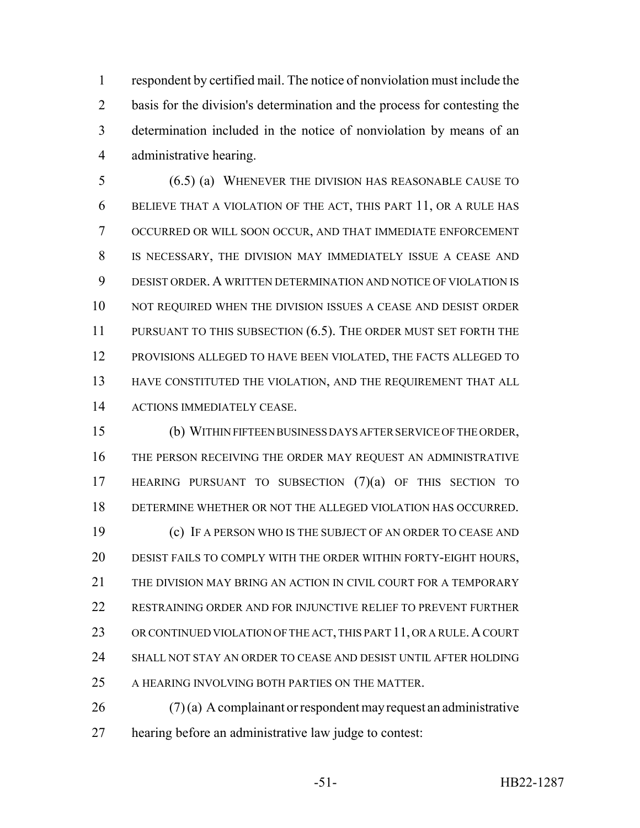respondent by certified mail. The notice of nonviolation must include the basis for the division's determination and the process for contesting the determination included in the notice of nonviolation by means of an administrative hearing.

 (6.5) (a) WHENEVER THE DIVISION HAS REASONABLE CAUSE TO BELIEVE THAT A VIOLATION OF THE ACT, THIS PART 11, OR A RULE HAS OCCURRED OR WILL SOON OCCUR, AND THAT IMMEDIATE ENFORCEMENT IS NECESSARY, THE DIVISION MAY IMMEDIATELY ISSUE A CEASE AND DESIST ORDER. A WRITTEN DETERMINATION AND NOTICE OF VIOLATION IS NOT REQUIRED WHEN THE DIVISION ISSUES A CEASE AND DESIST ORDER 11 PURSUANT TO THIS SUBSECTION (6.5). THE ORDER MUST SET FORTH THE PROVISIONS ALLEGED TO HAVE BEEN VIOLATED, THE FACTS ALLEGED TO HAVE CONSTITUTED THE VIOLATION, AND THE REQUIREMENT THAT ALL ACTIONS IMMEDIATELY CEASE.

 (b) WITHIN FIFTEEN BUSINESS DAYS AFTER SERVICE OF THE ORDER, THE PERSON RECEIVING THE ORDER MAY REQUEST AN ADMINISTRATIVE HEARING PURSUANT TO SUBSECTION (7)(a) OF THIS SECTION TO DETERMINE WHETHER OR NOT THE ALLEGED VIOLATION HAS OCCURRED. (c) IF A PERSON WHO IS THE SUBJECT OF AN ORDER TO CEASE AND DESIST FAILS TO COMPLY WITH THE ORDER WITHIN FORTY-EIGHT HOURS, 21 THE DIVISION MAY BRING AN ACTION IN CIVIL COURT FOR A TEMPORARY RESTRAINING ORDER AND FOR INJUNCTIVE RELIEF TO PREVENT FURTHER 23 OR CONTINUED VIOLATION OF THE ACT, THIS PART 11, OR A RULE. A COURT SHALL NOT STAY AN ORDER TO CEASE AND DESIST UNTIL AFTER HOLDING 25 A HEARING INVOLVING BOTH PARTIES ON THE MATTER.

 (7) (a) A complainant or respondent may request an administrative hearing before an administrative law judge to contest: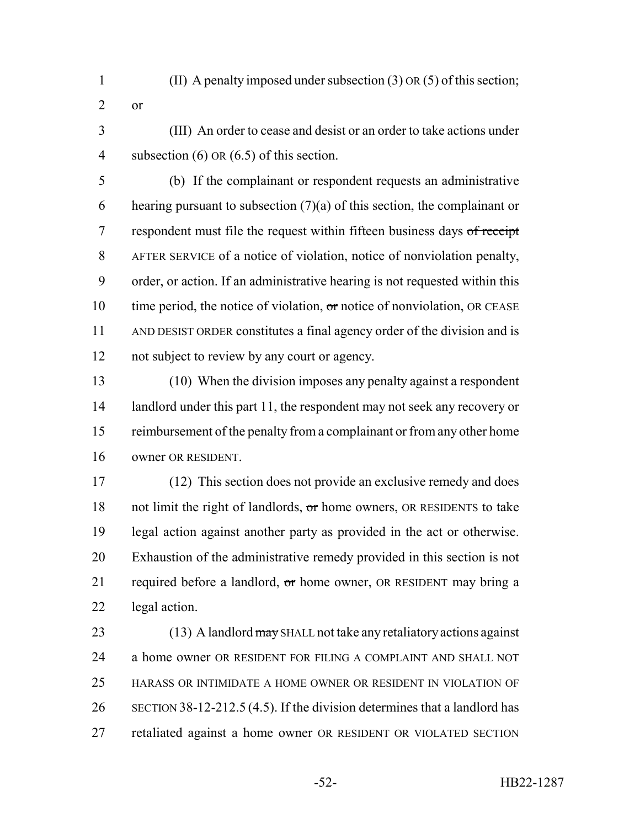- (II) A penalty imposed under subsection (3) OR (5) of this section;
- or
- (III) An order to cease and desist or an order to take actions under 4 subsection (6) OR (6.5) of this section.

 (b) If the complainant or respondent requests an administrative 6 hearing pursuant to subsection  $(7)(a)$  of this section, the complainant or 7 respondent must file the request within fifteen business days of receipt AFTER SERVICE of a notice of violation, notice of nonviolation penalty, order, or action. If an administrative hearing is not requested within this 10 time period, the notice of violation,  $\sigma$ r notice of nonviolation, OR CEASE AND DESIST ORDER constitutes a final agency order of the division and is not subject to review by any court or agency.

 (10) When the division imposes any penalty against a respondent 14 landlord under this part 11, the respondent may not seek any recovery or 15 reimbursement of the penalty from a complainant or from any other home owner OR RESIDENT.

 (12) This section does not provide an exclusive remedy and does 18 not limit the right of landlords, or home owners, OR RESIDENTS to take legal action against another party as provided in the act or otherwise. Exhaustion of the administrative remedy provided in this section is not 21 required before a landlord,  $\sigma$ r home owner, OR RESIDENT may bring a legal action.

23 (13) A landlord may SHALL not take any retaliatory actions against a home owner OR RESIDENT FOR FILING A COMPLAINT AND SHALL NOT HARASS OR INTIMIDATE A HOME OWNER OR RESIDENT IN VIOLATION OF SECTION 38-12-212.5 (4.5). If the division determines that a landlord has retaliated against a home owner OR RESIDENT OR VIOLATED SECTION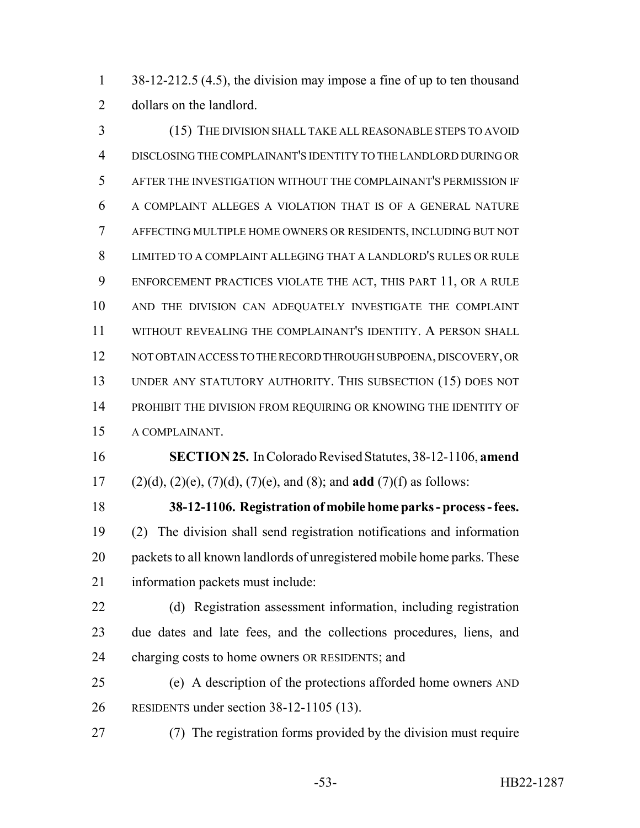1 38-12-212.5 (4.5), the division may impose a fine of up to ten thousand dollars on the landlord.

 (15) THE DIVISION SHALL TAKE ALL REASONABLE STEPS TO AVOID DISCLOSING THE COMPLAINANT'S IDENTITY TO THE LANDLORD DURING OR AFTER THE INVESTIGATION WITHOUT THE COMPLAINANT'S PERMISSION IF A COMPLAINT ALLEGES A VIOLATION THAT IS OF A GENERAL NATURE AFFECTING MULTIPLE HOME OWNERS OR RESIDENTS, INCLUDING BUT NOT LIMITED TO A COMPLAINT ALLEGING THAT A LANDLORD'S RULES OR RULE ENFORCEMENT PRACTICES VIOLATE THE ACT, THIS PART 11, OR A RULE AND THE DIVISION CAN ADEQUATELY INVESTIGATE THE COMPLAINT WITHOUT REVEALING THE COMPLAINANT'S IDENTITY. A PERSON SHALL NOT OBTAIN ACCESS TO THE RECORD THROUGH SUBPOENA, DISCOVERY, OR UNDER ANY STATUTORY AUTHORITY. THIS SUBSECTION (15) DOES NOT PROHIBIT THE DIVISION FROM REQUIRING OR KNOWING THE IDENTITY OF A COMPLAINANT.

 **SECTION 25.** In Colorado Revised Statutes, 38-12-1106, **amend** (2)(d), (2)(e), (7)(d), (7)(e), and (8); and **add** (7)(f) as follows:

 **38-12-1106. Registration of mobile home parks - process - fees.** (2) The division shall send registration notifications and information packets to all known landlords of unregistered mobile home parks. These information packets must include:

 (d) Registration assessment information, including registration due dates and late fees, and the collections procedures, liens, and charging costs to home owners OR RESIDENTS; and

 (e) A description of the protections afforded home owners AND RESIDENTS under section 38-12-1105 (13).

(7) The registration forms provided by the division must require